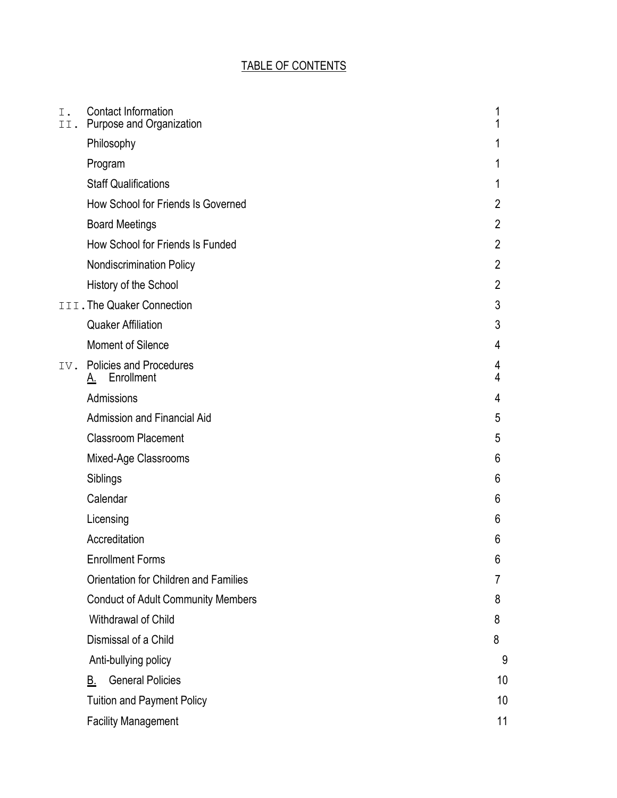# TABLE OF CONTENTS

| I.<br>II. | <b>Contact Information</b><br>Purpose and Organization    | 1<br>1         |
|-----------|-----------------------------------------------------------|----------------|
|           | Philosophy                                                | 1              |
|           | Program                                                   | 1              |
|           | <b>Staff Qualifications</b>                               | 1              |
|           | How School for Friends Is Governed                        | $\overline{2}$ |
|           | <b>Board Meetings</b>                                     | $\overline{2}$ |
|           | How School for Friends Is Funded                          | 2              |
|           | Nondiscrimination Policy                                  | $\overline{2}$ |
|           | History of the School                                     | $\overline{2}$ |
|           | III. The Quaker Connection                                | 3              |
|           | <b>Quaker Affiliation</b>                                 | 3              |
|           | <b>Moment of Silence</b>                                  | 4              |
| IV.       | <b>Policies and Procedures</b><br>Enrollment<br><u>A.</u> | 4<br>4         |
|           | Admissions                                                | 4              |
|           | <b>Admission and Financial Aid</b>                        | 5              |
|           | <b>Classroom Placement</b>                                | 5              |
|           | Mixed-Age Classrooms                                      | 6              |
|           | Siblings                                                  | 6              |
|           | Calendar                                                  | 6              |
|           | Licensing                                                 | 6              |
|           | Accreditation                                             | 6              |
|           | <b>Enrollment Forms</b>                                   | 6              |
|           | Orientation for Children and Families                     | 7              |
|           | <b>Conduct of Adult Community Members</b>                 | 8              |
|           | Withdrawal of Child                                       | 8              |
|           | Dismissal of a Child                                      | 8              |
|           | Anti-bullying policy                                      | 9              |
|           | <b>General Policies</b><br>В.                             | 10             |
|           | <b>Tuition and Payment Policy</b>                         | 10             |
|           | <b>Facility Management</b>                                | 11             |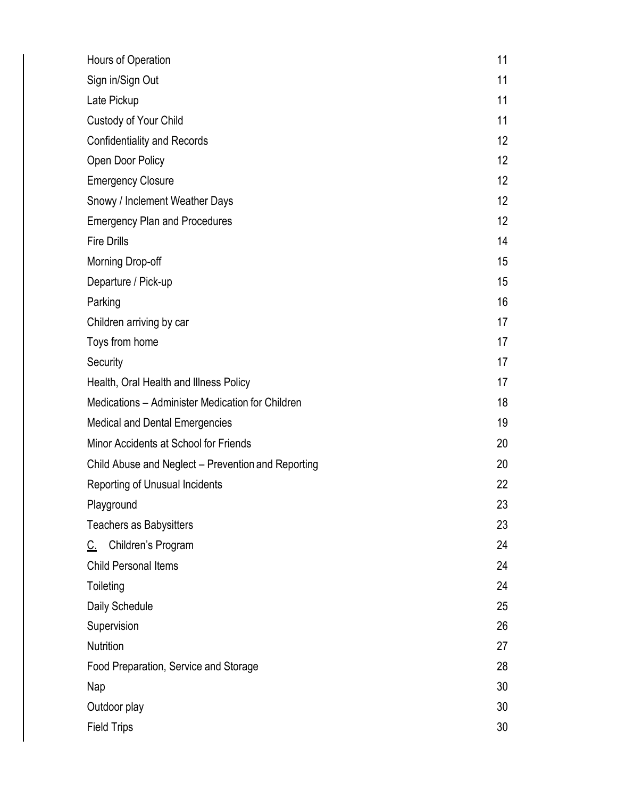| Hours of Operation                                 | 11 |  |
|----------------------------------------------------|----|--|
| Sign in/Sign Out                                   |    |  |
| Late Pickup                                        | 11 |  |
| Custody of Your Child                              | 11 |  |
| <b>Confidentiality and Records</b>                 | 12 |  |
| Open Door Policy                                   | 12 |  |
| <b>Emergency Closure</b>                           | 12 |  |
| Snowy / Inclement Weather Days                     | 12 |  |
| <b>Emergency Plan and Procedures</b>               | 12 |  |
| <b>Fire Drills</b>                                 | 14 |  |
| Morning Drop-off                                   | 15 |  |
| Departure / Pick-up                                | 15 |  |
| Parking                                            | 16 |  |
| Children arriving by car                           | 17 |  |
| Toys from home                                     | 17 |  |
| Security                                           | 17 |  |
| Health, Oral Health and Illness Policy             | 17 |  |
| Medications - Administer Medication for Children   | 18 |  |
| <b>Medical and Dental Emergencies</b>              |    |  |
| Minor Accidents at School for Friends              |    |  |
| Child Abuse and Neglect - Prevention and Reporting |    |  |
| Reporting of Unusual Incidents                     |    |  |
| Playground                                         | 23 |  |
| <b>Teachers as Babysitters</b>                     | 23 |  |
| Children's Program<br><u>C.</u>                    | 24 |  |
| <b>Child Personal Items</b>                        | 24 |  |
| Toileting                                          |    |  |
| Daily Schedule                                     | 25 |  |
| Supervision                                        |    |  |
| Nutrition                                          |    |  |
| Food Preparation, Service and Storage              |    |  |
| Nap                                                |    |  |
| Outdoor play                                       |    |  |
| <b>Field Trips</b>                                 |    |  |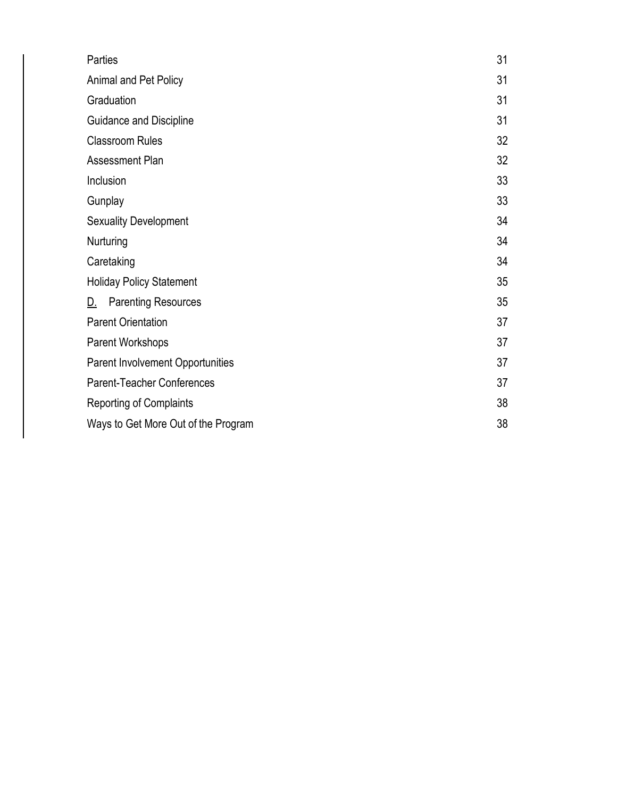| Parties                                 | 31 |
|-----------------------------------------|----|
| Animal and Pet Policy                   | 31 |
| Graduation                              | 31 |
| Guidance and Discipline                 | 31 |
| <b>Classroom Rules</b>                  | 32 |
| <b>Assessment Plan</b>                  | 32 |
| Inclusion                               |    |
| Gunplay                                 | 33 |
| <b>Sexuality Development</b>            | 34 |
| Nurturing                               | 34 |
| Caretaking                              | 34 |
| <b>Holiday Policy Statement</b>         |    |
| <b>Parenting Resources</b><br><u>D.</u> | 35 |
| <b>Parent Orientation</b>               |    |
| Parent Workshops                        |    |
| Parent Involvement Opportunities        |    |
| <b>Parent-Teacher Conferences</b>       |    |
| <b>Reporting of Complaints</b>          |    |
| Ways to Get More Out of the Program     |    |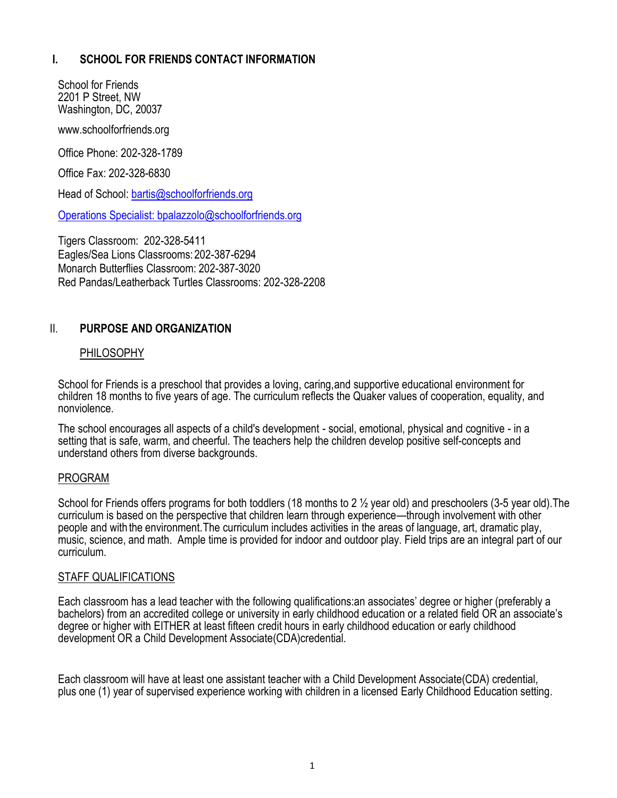## **I. SCHOOL FOR FRIENDS CONTACT INFORMATION**

School for Friends 2201 P Street, NW Washington, DC, 20037

[www.schoolforfriends.org](http://www.schoolforfriends.org/)

Office Phone: 202-328-1789

Office Fax: 202-328-6830

Head of School: [bartis@schoolforfriends.org](mailto:bartis@schoolforfriends.org)

Operations Specialist: bpalazzolo@schoolforfriends.org

Tigers Classroom: 202-328-5411 Eagles/Sea Lions Classrooms:202-387-6294 Monarch Butterflies Classroom: 202-387-3020 Red Pandas/Leatherback Turtles Classrooms: 202-328-2208

### II. **PURPOSE AND ORGANIZATION**

#### PHILOSOPHY

School for Friends is a preschool that provides a loving, caring,and supportive educational environment for children 18 months to five years of age. The curriculum reflects the Quaker values of cooperation, equality, and nonviolence.

The school encourages all aspects of a child's development - social, emotional, physical and cognitive - in a setting that is safe, warm, and cheerful. The teachers help the children develop positive self-concepts and understand others from diverse backgrounds.

#### PROGRAM

School for Friends offers programs for both toddlers (18 months to 2 ½ year old) and preschoolers (3-5 year old).The curriculum is based on the perspective that children learn through experience—through involvement with other people and with the environment.The curriculum includes activities in the areas of language, art, dramatic play, music, science, and math. Ample time is provided for indoor and outdoor play. Field trips are an integral part of our curriculum.

#### STAFF QUALIFICATIONS

Each classroom has a lead teacher with the following qualifications:an associates' degree or higher (preferably a bachelors) from an accredited college or university in early childhood education or a related field OR an associate's degree or higher with EITHER at least fifteen credit hours in early childhood education or early childhood development OR a Child Development Associate(CDA)credential.

Each classroom will have at least one assistant teacher with a Child Development Associate(CDA) credential, plus one (1) year of supervised experience working with children in a licensed Early Childhood Education setting.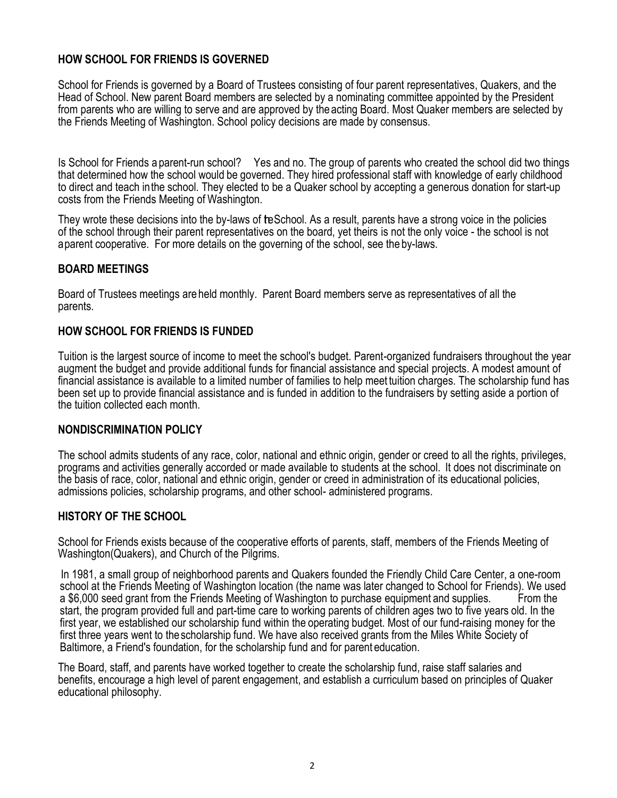## **HOW SCHOOL FOR FRIENDS IS GOVERNED**

School for Friends is governed by a Board of Trustees consisting of four parent representatives, Quakers, and the Head of School. New parent Board members are selected by a nominating committee appointed by the President from parents who are willing to serve and are approved by the acting Board. Most Quaker members are selected by the Friends Meeting of Washington. School policy decisions are made by consensus.

Is School for Friends a parent-run school? Yes and no. The group of parents who created the school did two things that determined how the school would be governed. They hired professional staff with knowledge of early childhood to direct and teach inthe school. They elected to be a Quaker school by accepting a generous donation for start-up costs from the Friends Meeting of Washington.

They wrote these decisions into the by-laws of teSchool. As a result, parents have a strong voice in the policies of the school through their parent representatives on the board, yet theirs is not the only voice - the school is not aparent cooperative. For more details on the governing of the school, see the by-laws.

### **BOARD MEETINGS**

Board of Trustees meetings are held monthly. Parent Board members serve as representatives of all the parents.

### **HOW SCHOOL FOR FRIENDS IS FUNDED**

Tuition is the largest source of income to meet the school's budget. Parent-organized fundraisers throughout the year augment the budget and provide additional funds for financial assistance and special projects. A modest amount of financial assistance is available to a limited number of families to help meet tuition charges. The scholarship fund has been set up to provide financial assistance and is funded in addition to the fundraisers by setting aside a portion of the tuition collected each month.

#### **NONDISCRIMINATION POLICY**

The school admits students of any race, color, national and ethnic origin, gender or creed to all the rights, privileges, programs and activities generally accorded or made available to students at the school. It does not discriminate on the basis of race, color, national and ethnic origin, gender or creed in administration of its educational policies, admissions policies, scholarship programs, and other school- administered programs.

#### **HISTORY OF THE SCHOOL**

School for Friends exists because of the cooperative efforts of parents, staff, members of the Friends Meeting of Washington(Quakers), and Church of the Pilgrims.

 In 1981, a small group of neighborhood parents and Quakers founded the Friendly Child Care Center, a one-room school at the Friends Meeting of Washington location (the name was later changed to School for Friends). We used a \$6,000 seed grant from the Friends Meeting of Washington to purchase equipment and supplies. From the start, the program provided full and part-time care to working parents of children ages two to five years old. In the first year, we established our scholarship fund within the operating budget. Most of our fund-raising money for the first three years went to thescholarship fund. We have also received grants from the Miles White Society of Baltimore, a Friend's foundation, for the scholarship fund and for parent education.

The Board, staff, and parents have worked together to create the scholarship fund, raise staff salaries and benefits, encourage a high level of parent engagement, and establish a curriculum based on principles of Quaker educational philosophy.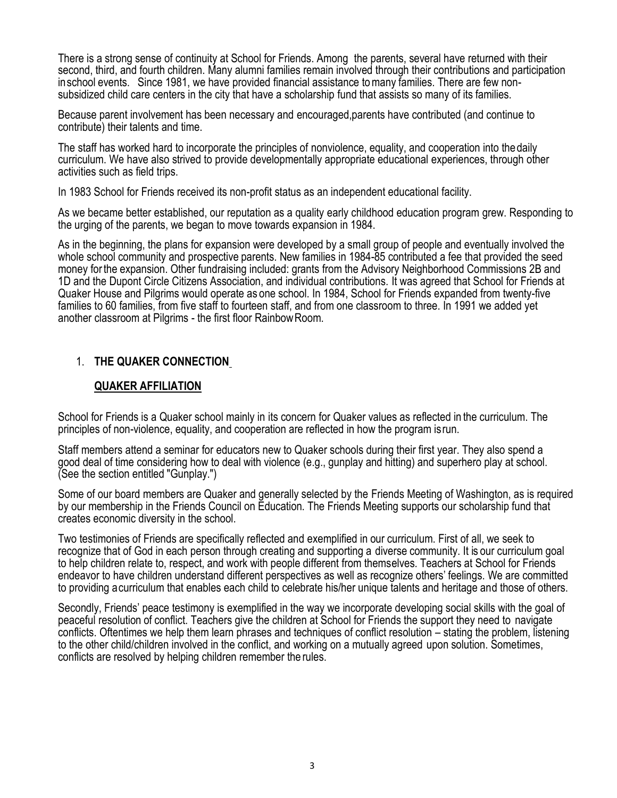There is a strong sense of continuity at School for Friends. Among the parents, several have returned with their second, third, and fourth children. Many alumni families remain involved through their contributions and participation inschool events. Since 1981, we have provided financial assistance tomany families. There are few nonsubsidized child care centers in the city that have a scholarship fund that assists so many of its families.

Because parent involvement has been necessary and encouraged,parents have contributed (and continue to contribute) their talents and time.

The staff has worked hard to incorporate the principles of nonviolence, equality, and cooperation into thedaily curriculum. We have also strived to provide developmentally appropriate educational experiences, through other activities such as field trips.

In 1983 School for Friends received its non-profit status as an independent educational facility.

As we became better established, our reputation as a quality early childhood education program grew. Responding to the urging of the parents, we began to move towards expansion in 1984.

As in the beginning, the plans for expansion were developed by a small group of people and eventually involved the whole school community and prospective parents. New families in 1984-85 contributed a fee that provided the seed money forthe expansion. Other fundraising included: grants from the Advisory Neighborhood Commissions 2B and 1D and the Dupont Circle Citizens Association, and individual contributions. It was agreed that School for Friends at Quaker House and Pilgrims would operate as one school. In 1984, School for Friends expanded from twenty-five families to 60 families, from five staff to fourteen staff, and from one classroom to three. In 1991 we added yet another classroom at Pilgrims - the first floor RainbowRoom.

# 1. **THE QUAKER CONNECTION**

### **QUAKER AFFILIATION**

School for Friends is a Quaker school mainly in its concern for Quaker values as reflected in the curriculum. The principles of non-violence, equality, and cooperation are reflected in how the program isrun.

Staff members attend a seminar for educators new to Quaker schools during their first year. They also spend a good deal of time considering how to deal with violence (e.g., gunplay and hitting) and superhero play at school. (See the section entitled "Gunplay.")

Some of our board members are Quaker and generally selected by the Friends Meeting of Washington, as is required by our membership in the Friends Council on Education. The Friends Meeting supports our scholarship fund that creates economic diversity in the school.

Two testimonies of Friends are specifically reflected and exemplified in our curriculum. First of all, we seek to recognize that of God in each person through creating and supporting a diverse community. It is our curriculum goal to help children relate to, respect, and work with people different from themselves. Teachers at School for Friends endeavor to have children understand different perspectives as well as recognize others' feelings. We are committed to providing acurriculum that enables each child to celebrate his/her unique talents and heritage and those of others.

Secondly, Friends' peace testimony is exemplified in the way we incorporate developing social skills with the goal of peaceful resolution of conflict. Teachers give the children at School for Friends the support they need to navigate conflicts. Oftentimes we help them learn phrases and techniques of conflict resolution – stating the problem, listening to the other child/children involved in the conflict, and working on a mutually agreed upon solution. Sometimes, conflicts are resolved by helping children remember the rules.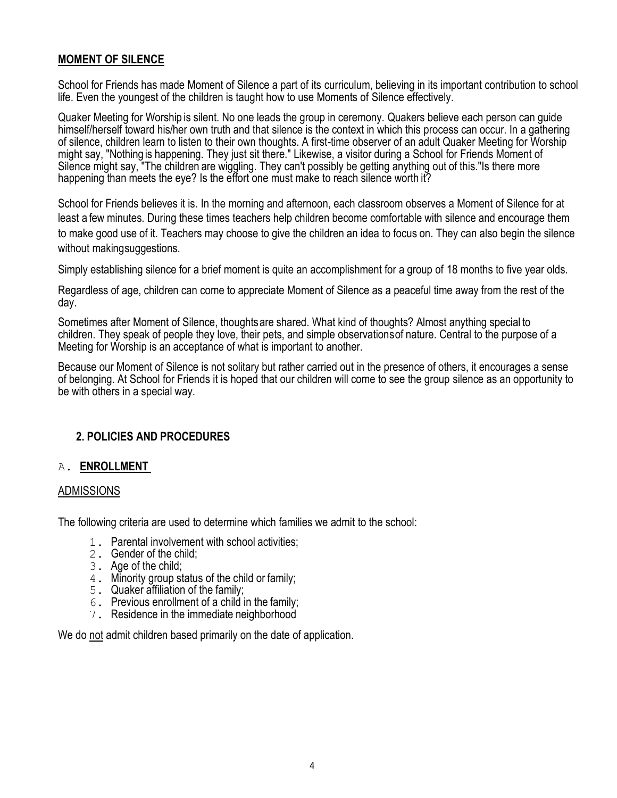### **MOMENT OF SILENCE**

School for Friends has made Moment of Silence a part of its curriculum, believing in its important contribution to school life. Even the youngest of the children is taught how to use Moments of Silence effectively.

Quaker Meeting for Worship is silent. No one leads the group in ceremony. Quakers believe each person can guide himself/herself toward his/her own truth and that silence is the context in which this process can occur. In a gathering of silence, children learn to listen to their own thoughts. A first-time observer of an adult Quaker Meeting for Worship might say, "Nothing is happening. They just sit there." Likewise, a visitor during a School for Friends Moment of Silence might say, "The children are wiggling. They can't possibly be getting anything out of this."Is there more happening than meets the eye? Is the effort one must make to reach silence worth it?

School for Friends believes it is. In the morning and afternoon, each classroom observes a Moment of Silence for at least a few minutes. During these times teachers help children become comfortable with silence and encourage them to make good use of it. Teachers may choose to give the children an idea to focus on. They can also begin the silence without makingsuggestions.

Simply establishing silence for a brief moment is quite an accomplishment for a group of 18 months to five year olds.

Regardless of age, children can come to appreciate Moment of Silence as a peaceful time away from the rest of the day.

Sometimes after Moment of Silence, thoughtsare shared. What kind of thoughts? Almost anything special to children. They speak of people they love, their pets, and simple observationsof nature. Central to the purpose of a Meeting for Worship is an acceptance of what is important to another.

Because our Moment of Silence is not solitary but rather carried out in the presence of others, it encourages a sense of belonging. At School for Friends it is hoped that our children will come to see the group silence as an opportunity to be with others in a special way.

### **2. POLICIES AND PROCEDURES**

#### A. **ENROLLMENT**

#### ADMISSIONS

The following criteria are used to determine which families we admit to the school:

- 1. Parental involvement with school activities;
- 2. Gender of the child;
- 3. Age of the child;
- 4. Minority group status of the child or family;
- 5. Quaker affiliation of the family;
- 6. Previous enrollment of a child in the family;
- 7. Residence in the immediate neighborhood

We do not admit children based primarily on the date of application.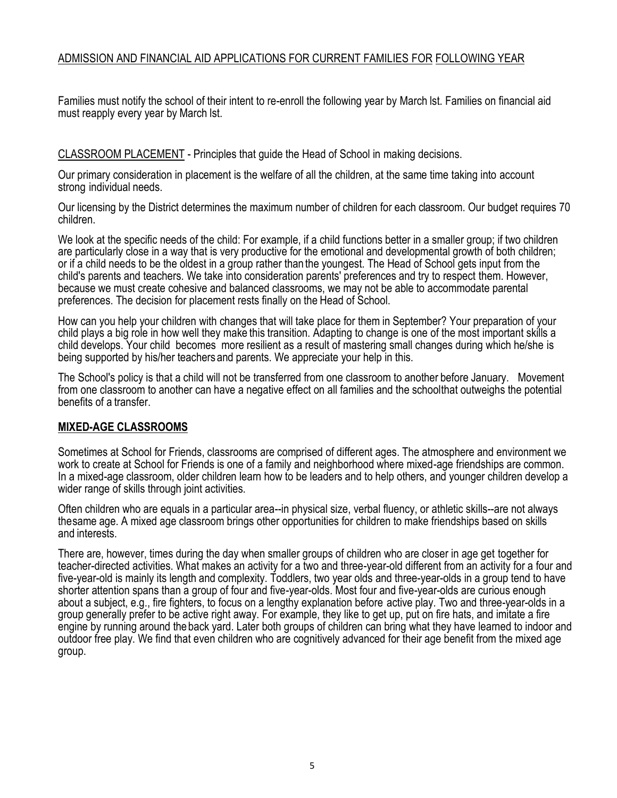# ADMISSION AND FINANCIAL AID APPLICATIONS FOR CURRENT FAMILIES FOR FOLLOWING YEAR

Families must notify the school of their intent to re-enroll the following year by March lst. Families on financial aid must reapply every year by March lst.

CLASSROOM PLACEMENT - Principles that guide the Head of School in making decisions.

Our primary consideration in placement is the welfare of all the children, at the same time taking into account strong individual needs.

Our licensing by the District determines the maximum number of children for each classroom. Our budget requires 70 children.

We look at the specific needs of the child: For example, if a child functions better in a smaller group; if two children are particularly close in a way that is very productive for the emotional and developmental growth of both children; or if a child needs to be the oldest in a group rather than the youngest. The Head of School gets input from the child's parents and teachers. We take into consideration parents' preferences and try to respect them. However, because we must create cohesive and balanced classrooms, we may not be able to accommodate parental preferences. The decision for placement rests finally on the Head of School.

How can you help your children with changes that will take place for them in September? Your preparation of your child plays a big role in how well they make this transition. Adapting to change is one of the most important skills a child develops. Your child becomes more resilient as a result of mastering small changes during which he/she is being supported by his/her teachersand parents. We appreciate your help in this.

The School's policy is that a child will not be transferred from one classroom to another before January. Movement from one classroom to another can have a negative effect on all families and the schoolthat outweighs the potential benefits of a transfer.

#### **MIXED-AGE CLASSROOMS**

Sometimes at School for Friends, classrooms are comprised of different ages. The atmosphere and environment we work to create at School for Friends is one of a family and neighborhood where mixed-age friendships are common. In a mixed-age classroom, older children learn how to be leaders and to help others, and younger children develop a wider range of skills through joint activities.

Often children who are equals in a particular area--in physical size, verbal fluency, or athletic skills--are not always thesame age. A mixed age classroom brings other opportunities for children to make friendships based on skills and interests.

There are, however, times during the day when smaller groups of children who are closer in age get together for teacher-directed activities. What makes an activity for a two and three-year-old different from an activity for a four and five-year-old is mainly its length and complexity. Toddlers, two year olds and three-year-olds in a group tend to have shorter attention spans than a group of four and five-year-olds. Most four and five-year-olds are curious enough about a subject, e.g., fire fighters, to focus on a lengthy explanation before active play. Two and three-year-olds in a group generally prefer to be active right away. For example, they like to get up, put on fire hats, and imitate a fire engine by running around the back yard. Later both groups of children can bring what they have learned to indoor and outdoor free play. We find that even children who are cognitively advanced for their age benefit from the mixed age group.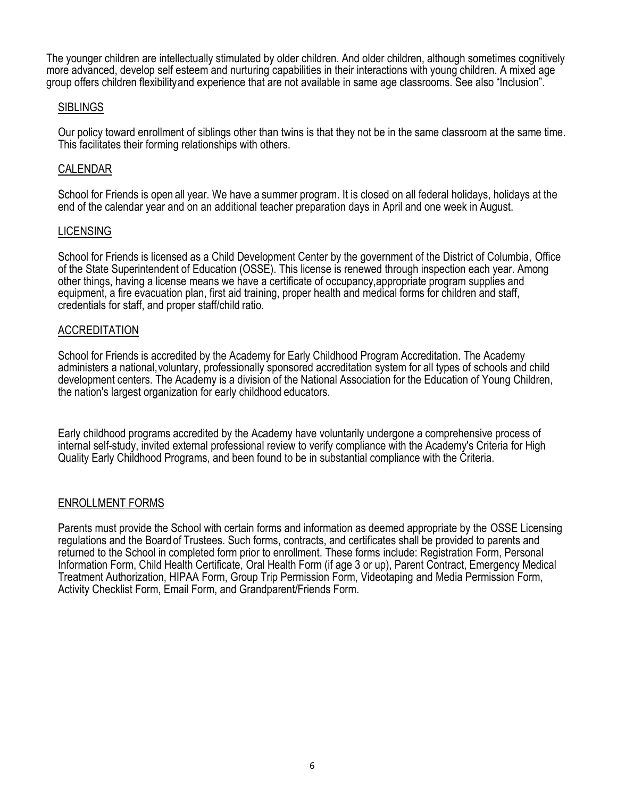The younger children are intellectually stimulated by older children. And older children, although sometimes cognitively more advanced, develop self esteem and nurturing capabilities in their interactions with young children. A mixed age group offers children flexibilityand experience that are not available in same age classrooms. See also "Inclusion".

### SIBLINGS

Our policy toward enrollment of siblings other than twins is that they not be in the same classroom at the same time. This facilitates their forming relationships with others.

### CALENDAR

School for Friends is open all year. We have a summer program. It is closed on all federal holidays, holidays at the end of the calendar year and on an additional teacher preparation days in April and one week in August.

#### LICENSING

School for Friends is licensed as a Child Development Center by the government of the District of Columbia, Office of the State Superintendent of Education (OSSE). This license is renewed through inspection each year. Among other things, having a license means we have a certificate of occupancy,appropriate program supplies and equipment, a fire evacuation plan, first aid training, proper health and medical forms for children and staff, credentials for staff, and proper staff/child ratio.

#### ACCREDITATION

School for Friends is accredited by the Academy for Early Childhood Program Accreditation. The Academy administers a national,voluntary, professionally sponsored accreditation system for all types of schools and child development centers. The Academy is a division of the National Association for the Education of Young Children, the nation's largest organization for early childhood educators.

Early childhood programs accredited by the Academy have voluntarily undergone a comprehensive process of internal self-study, invited external professional review to verify compliance with the Academy's Criteria for High Quality Early Childhood Programs, and been found to be in substantial compliance with the Criteria.

#### ENROLLMENT FORMS

Parents must provide the School with certain forms and information as deemed appropriate by the OSSE Licensing regulations and the Board of Trustees. Such forms, contracts, and certificates shall be provided to parents and returned to the School in completed form prior to enrollment. These forms include: Registration Form, Personal Information Form, Child Health Certificate, Oral Health Form (if age 3 or up), Parent Contract, Emergency Medical Treatment Authorization, HIPAA Form, Group Trip Permission Form, Videotaping and Media Permission Form, Activity Checklist Form, Email Form, and Grandparent/Friends Form.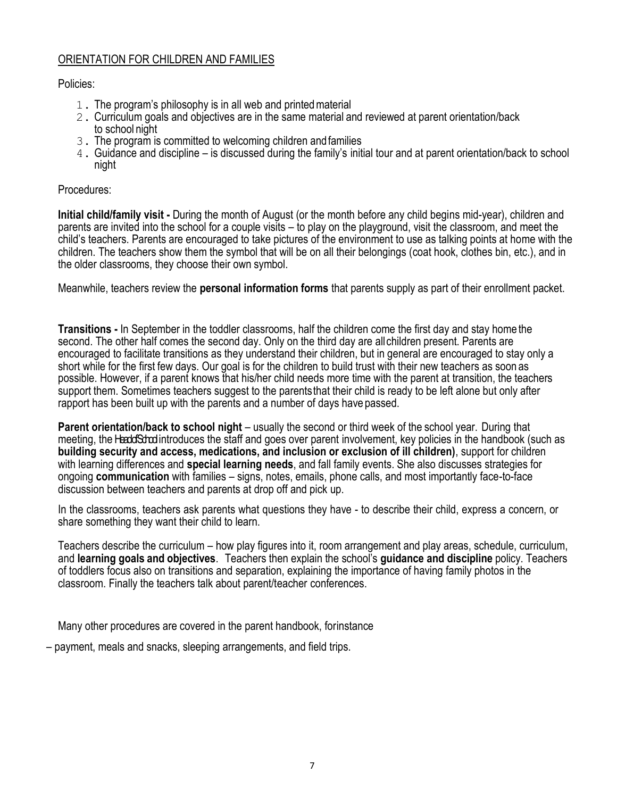## ORIENTATION FOR CHILDREN AND FAMILIES

Policies:

- 1. The program's philosophy is in all web and printedmaterial
- 2. Curriculum goals and objectives are in the same material and reviewed at parent orientation/back to school night
- 3. The program is committed to welcoming children andfamilies
- 4. Guidance and discipline is discussed during the family's initial tour and at parent orientation/back to school night

### Procedures:

**Initial child/family visit -** During the month of August (or the month before any child begins mid-year), children and parents are invited into the school for a couple visits – to play on the playground, visit the classroom, and meet the child's teachers. Parents are encouraged to take pictures of the environment to use as talking points at home with the children. The teachers show them the symbol that will be on all their belongings (coat hook, clothes bin, etc.), and in the older classrooms, they choose their own symbol.

Meanwhile, teachers review the **personal information forms** that parents supply as part of their enrollment packet.

**Transitions -** In September in the toddler classrooms, half the children come the first day and stay home the second. The other half comes the second day. Only on the third day are allchildren present. Parents are encouraged to facilitate transitions as they understand their children, but in general are encouraged to stay only a short while for the first few days. Our goal is for the children to build trust with their new teachers as soon as possible. However, if a parent knows that his/her child needs more time with the parent at transition, the teachers support them. Sometimes teachers suggest to the parentsthat their child is ready to be left alone but only after rapport has been built up with the parents and a number of days have passed.

**Parent orientation/back to school night** – usually the second or third week of the school year. During that meeting, the Head School introduces the staff and goes over parent involvement, key policies in the handbook (such as **building security and access, medications, and inclusion or exclusion of ill children)**, support for children with learning differences and **special learning needs**, and fall family events. She also discusses strategies for ongoing **communication** with families – signs, notes, emails, phone calls, and most importantly face-to-face discussion between teachers and parents at drop off and pick up.

In the classrooms, teachers ask parents what questions they have - to describe their child, express a concern, or share something they want their child to learn.

Teachers describe the curriculum – how play figures into it, room arrangement and play areas, schedule, curriculum, and **learning goals and objectives**. Teachers then explain the school's **guidance and discipline** policy. Teachers of toddlers focus also on transitions and separation, explaining the importance of having family photos in the classroom. Finally the teachers talk about parent/teacher conferences.

Many other procedures are covered in the parent handbook, forinstance

– payment, meals and snacks, sleeping arrangements, and field trips.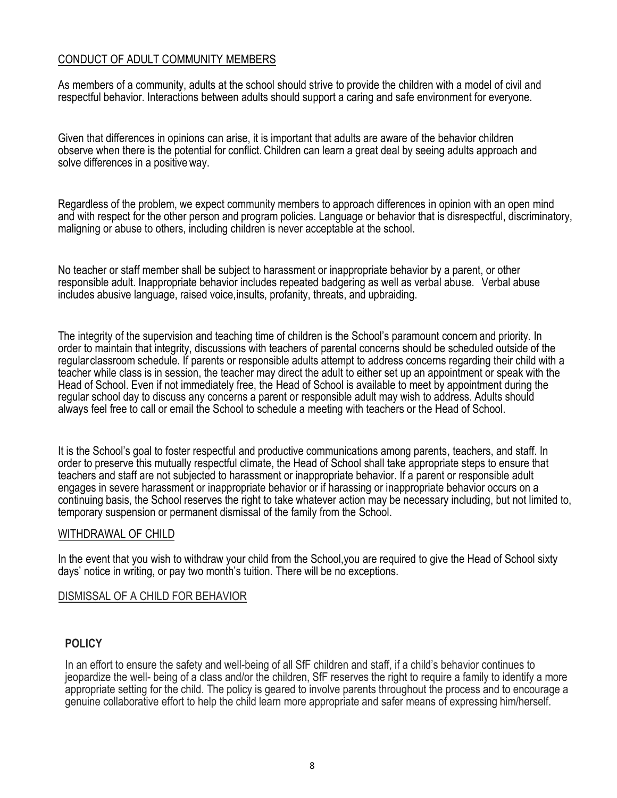### CONDUCT OF ADULT COMMUNITY MEMBERS

As members of a community, adults at the school should strive to provide the children with a model of civil and respectful behavior. Interactions between adults should support a caring and safe environment for everyone.

Given that differences in opinions can arise, it is important that adults are aware of the behavior children observe when there is the potential for conflict. Children can learn a great deal by seeing adults approach and solve differences in a positive way.

Regardless of the problem, we expect community members to approach differences in opinion with an open mind and with respect for the other person and program policies. Language or behavior that is disrespectful, discriminatory, maligning or abuse to others, including children is never acceptable at the school.

No teacher or staff member shall be subject to harassment or inappropriate behavior by a parent, or other responsible adult. Inappropriate behavior includes repeated badgering as well as verbal abuse. Verbal abuse includes abusive language, raised voice, insults, profanity, threats, and upbraiding.

The integrity of the supervision and teaching time of children is the School's paramount concern and priority. In order to maintain that integrity, discussions with teachers of parental concerns should be scheduled outside of the regular classroom schedule. If parents or responsible adults attempt to address concerns regarding their child with a teacher while class is in session, the teacher may direct the adult to either set up an appointment or speak with the Head of School. Even if not immediately free, the Head of School is available to meet by appointment during the regular school day to discuss any concerns a parent or responsible adult may wish to address. Adults should always feel free to call or email the School to schedule a meeting with teachers or the Head of School.

It is the School's goal to foster respectful and productive communications among parents, teachers, and staff. In order to preserve this mutually respectful climate, the Head of School shall take appropriate steps to ensure that teachers and staff are not subjected to harassment or inappropriate behavior. If a parent or responsible adult engages in severe harassment or inappropriate behavior or if harassing or inappropriate behavior occurs on a continuing basis, the School reserves the right to take whatever action may be necessary including, but not limited to, temporary suspension or permanent dismissal of the family from the School.

#### WITHDRAWAL OF CHILD

In the event that you wish to withdraw your child from the School, you are required to give the Head of School sixty days' notice in writing, or pay two month's tuition. There will be no exceptions.

#### DISMISSAL OF A CHILD FOR BEHAVIOR

#### **POLICY**

In an effort to ensure the safety and well-being of all SfF children and staff, if a child's behavior continues to jeopardize the well- being of a class and/or the children, SfF reserves the right to require a family to identify a more appropriate setting for the child. The policy is geared to involve parents throughout the process and to encourage a genuine collaborative effort to help the child learn more appropriate and safer means of expressing him/herself.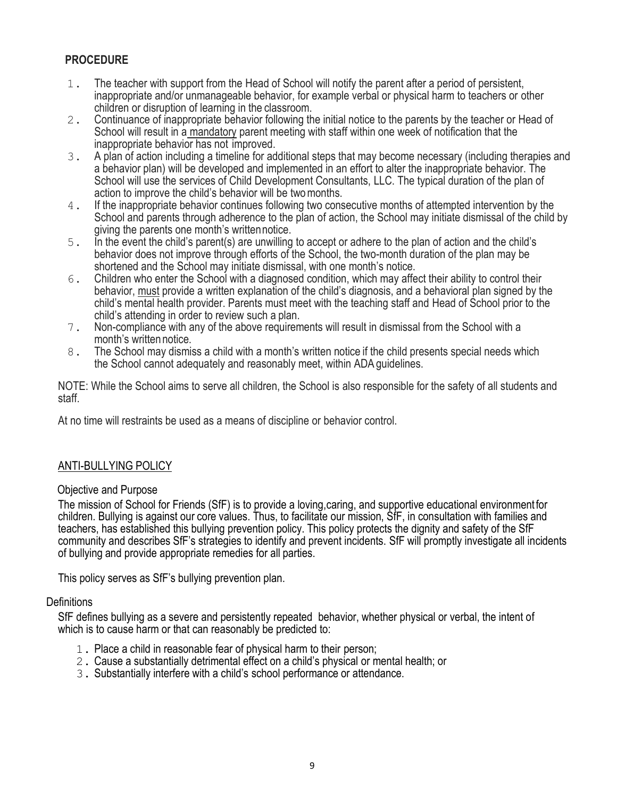# **PROCEDURE**

- 1. The teacher with support from the Head of School will notify the parent after a period of persistent, inappropriate and/or unmanageable behavior, for example verbal or physical harm to teachers or other children or disruption of learning in the classroom.
- 2. Continuance of inappropriate behavior following the initial notice to the parents by the teacher or Head of School will result in a mandatory parent meeting with staff within one week of notification that the inappropriate behavior has not improved.
- 3. A plan of action including a timeline for additional steps that may become necessary (including therapies and a behavior plan) will be developed and implemented in an effort to alter the inappropriate behavior. The School will use the services of Child Development Consultants, LLC. The typical duration of the plan of action to improve the child's behavior will be twomonths.
- 4. If the inappropriate behavior continues following two consecutive months of attempted intervention by the School and parents through adherence to the plan of action, the School may initiate dismissal of the child by giving the parents one month's writtennotice.
- 5. In the event the child's parent(s) are unwilling to accept or adhere to the plan of action and the child's behavior does not improve through efforts of the School, the two-month duration of the plan may be shortened and the School may initiate dismissal, with one month's notice.
- 6. Children who enter the School with a diagnosed condition, which may affect their ability to control their behavior, must provide a written explanation of the child's diagnosis, and a behavioral plan signed by the child's mental health provider. Parents must meet with the teaching staff and Head of School prior to the child's attending in order to review such a plan.
- 7. Non-compliance with any of the above requirements will result in dismissal from the School with a month's written notice.
- 8. The School may dismiss a child with a month's written notice if the child presents special needs which the School cannot adequately and reasonably meet, within ADA guidelines.

NOTE: While the School aims to serve all children, the School is also responsible for the safety of all students and staff.

At no time will restraints be used as a means of discipline or behavior control.

### ANTI-BULLYING POLICY

#### Objective and Purpose

The mission of School for Friends (SfF) is to provide a loving,caring, and supportive educational environmentfor children. Bullying is against our core values. Thus, to facilitate our mission, SfF, in consultation with families and teachers, has established this bullying prevention policy. This policy protects the dignity and safety of the SfF community and describes SfF's strategies to identify and prevent incidents. SfF will promptly investigate all incidents of bullying and provide appropriate remedies for all parties.

This policy serves as SfF's bullying prevention plan.

#### **Definitions**

SfF defines bullying as a severe and persistently repeated behavior, whether physical or verbal, the intent of which is to cause harm or that can reasonably be predicted to:

- 1. Place a child in reasonable fear of physical harm to their person;
- 2. Cause a substantially detrimental effect on a child's physical or mental health; or
- 3. Substantially interfere with a child's school performance or attendance.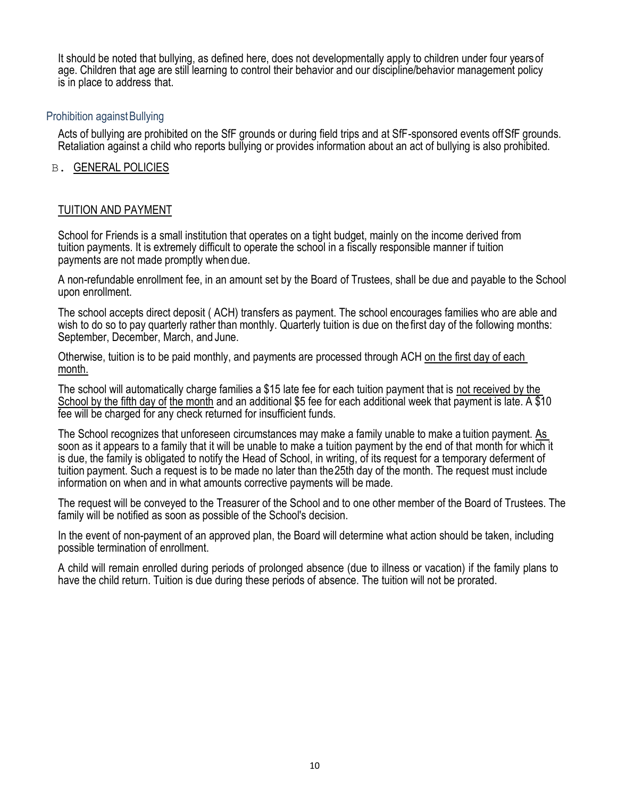It should be noted that bullying, as defined here, does not developmentally apply to children under four yearsof age. Children that age are still learning to control their behavior and our discipline/behavior management policy is in place to address that.

### **Prohibition against Bullying**

Acts of bullying are prohibited on the SfF grounds or during field trips and at SfF-sponsored events offSfF grounds. Retaliation against a child who reports bullying or provides information about an act of bullying is also prohibited.

#### B. GENERAL POLICIES

### TUITION AND PAYMENT

School for Friends is a small institution that operates on a tight budget, mainly on the income derived from tuition payments. It is extremely difficult to operate the school in a fiscally responsible manner if tuition payments are not made promptly when due.

A non-refundable enrollment fee, in an amount set by the Board of Trustees, shall be due and payable to the School upon enrollment.

The school accepts direct deposit ( ACH) transfers as payment. The school encourages families who are able and wish to do so to pay quarterly rather than monthly. Quarterly tuition is due on the first day of the following months: September, December, March, and June.

Otherwise, tuition is to be paid monthly, and payments are processed through ACH on the first day of each month.

The school will automatically charge families a \$15 late fee for each tuition payment that is not received by the School by the fifth day of the month and an additional \$5 fee for each additional week that payment is late. A \$10 fee will be charged for any check returned for insufficient funds.

The School recognizes that unforeseen circumstances may make a family unable to make a tuition payment. As soon as it appears to a family that it will be unable to make a tuition payment by the end of that month for which it is due, the family is obligated to notify the Head of School, in writing, of its request for a temporary deferment of tuition payment. Such a request is to be made no later than the25th day of the month. The request must include information on when and in what amounts corrective payments will be made.

The request will be conveyed to the Treasurer of the School and to one other member of the Board of Trustees. The family will be notified as soon as possible of the School's decision.

In the event of non-payment of an approved plan, the Board will determine what action should be taken, including possible termination of enrollment.

A child will remain enrolled during periods of prolonged absence (due to illness or vacation) if the family plans to have the child return. Tuition is due during these periods of absence. The tuition will not be prorated.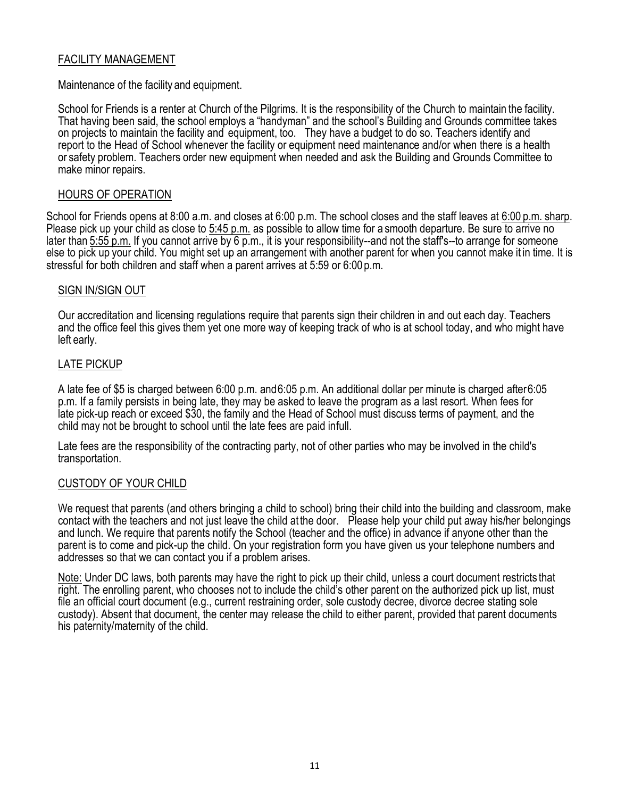### FACILITY MANAGEMENT

Maintenance of the facility and equipment.

School for Friends is a renter at Church of the Pilgrims. It is the responsibility of the Church to maintain the facility. That having been said, the school employs a "handyman" and the school's Building and Grounds committee takes on projects to maintain the facility and equipment, too. They have a budget to do so. Teachers identify and report to the Head of School whenever the facility or equipment need maintenance and/or when there is a health or safety problem. Teachers order new equipment when needed and ask the Building and Grounds Committee to make minor repairs.

#### HOURS OF OPERATION

School for Friends opens at 8:00 a.m. and closes at 6:00 p.m. The school closes and the staff leaves at 6:00 p.m. sharp. Please pick up your child as close to 5:45 p.m. as possible to allow time for a smooth departure. Be sure to arrive no later than 5:55 p.m. If you cannot arrive by 6 p.m., it is your responsibility--and not the staff's--to arrange for someone else to pick up your child. You might set up an arrangement with another parent for when you cannot make it in time. It is stressful for both children and staff when a parent arrives at 5:59 or 6:00 p.m.

#### SIGN IN/SIGN OUT

Our accreditation and licensing regulations require that parents sign their children in and out each day. Teachers and the office feel this gives them yet one more way of keeping track of who is at school today, and who might have left early.

#### LATE PICKUP

A late fee of \$5 is charged between 6:00 p.m. and6:05 p.m. An additional dollar per minute is charged after6:05 p.m. If a family persists in being late, they may be asked to leave the program as a last resort. When fees for late pick-up reach or exceed \$30, the family and the Head of School must discuss terms of payment, and the child may not be brought to school until the late fees are paid infull.

Late fees are the responsibility of the contracting party, not of other parties who may be involved in the child's transportation.

#### CUSTODY OF YOUR CHILD

We request that parents (and others bringing a child to school) bring their child into the building and classroom, make contact with the teachers and not just leave the child at the door. Please help your child put away his/her belongings and lunch. We require that parents notify the School (teacher and the office) in advance if anyone other than the parent is to come and pick-up the child. On your registration form you have given us your telephone numbers and addresses so that we can contact you if a problem arises.

Note: Under DC laws, both parents may have the right to pick up their child, unless a court document restricts that right. The enrolling parent, who chooses not to include the child's other parent on the authorized pick up list, must file an official court document (e.g., current restraining order, sole custody decree, divorce decree stating sole custody). Absent that document, the center may release the child to either parent, provided that parent documents his paternity/maternity of the child.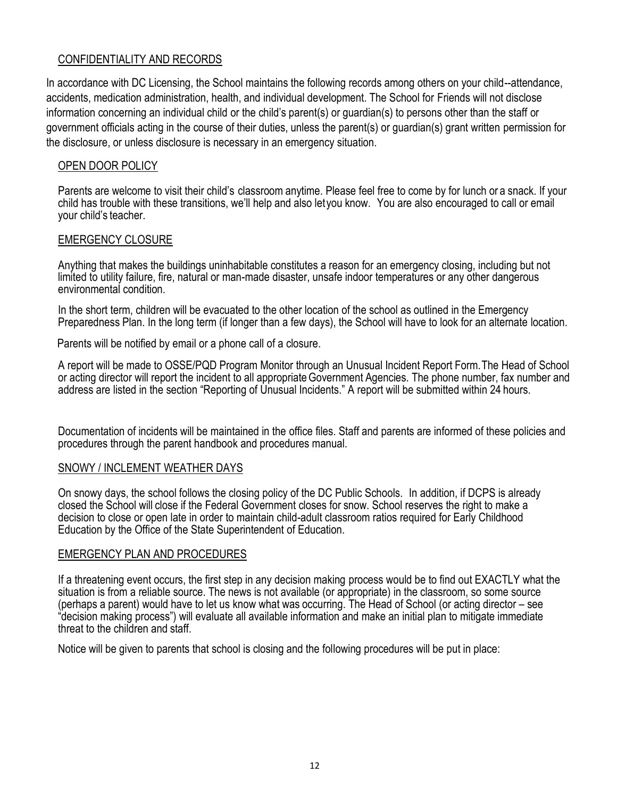## CONFIDENTIALITY AND RECORDS

In accordance with DC Licensing, the School maintains the following records among others on your child--attendance, accidents, medication administration, health, and individual development. The School for Friends will not disclose information concerning an individual child or the child's parent(s) or guardian(s) to persons other than the staff or government officials acting in the course of their duties, unless the parent(s) or guardian(s) grant written permission for the disclosure, or unless disclosure is necessary in an emergency situation.

## OPEN DOOR POLICY

Parents are welcome to visit their child's classroom anytime. Please feel free to come by for lunch or a snack. If your child has trouble with these transitions, we'll help and also letyou know. You are also encouraged to call or email your child's teacher.

### EMERGENCY CLOSURE

Anything that makes the buildings uninhabitable constitutes a reason for an emergency closing, including but not limited to utility failure, fire, natural or man-made disaster, unsafe indoor temperatures or any other dangerous environmental condition.

In the short term, children will be evacuated to the other location of the school as outlined in the Emergency Preparedness Plan. In the long term (if longer than a few days), the School will have to look for an alternate location.

Parents will be notified by email or a phone call of a closure.

A report will be made to OSSE/PQD Program Monitor through an Unusual Incident Report Form.The Head of School or acting director will report the incident to all appropriateGovernment Agencies. The phone number, fax number and address are listed in the section "Reporting of Unusual Incidents." A report will be submitted within 24 hours.

Documentation of incidents will be maintained in the office files. Staff and parents are informed of these policies and procedures through the parent handbook and procedures manual.

#### SNOWY / INCLEMENT WEATHER DAYS

On snowy days, the school follows the closing policy of the DC Public Schools. In addition, if DCPS is already closed the School will close if the Federal Government closes for snow. School reserves the right to make a decision to close or open late in order to maintain child-adult classroom ratios required for Early Childhood Education by the Office of the State Superintendent of Education.

#### EMERGENCY PLAN AND PROCEDURES

If a threatening event occurs, the first step in any decision making process would be to find out EXACTLY what the situation is from a reliable source. The news is not available (or appropriate) in the classroom, so some source (perhaps a parent) would have to let us know what was occurring. The Head of School (or acting director – see "decision making process") will evaluate all available information and make an initial plan to mitigate immediate threat to the children and staff.

Notice will be given to parents that school is closing and the following procedures will be put in place: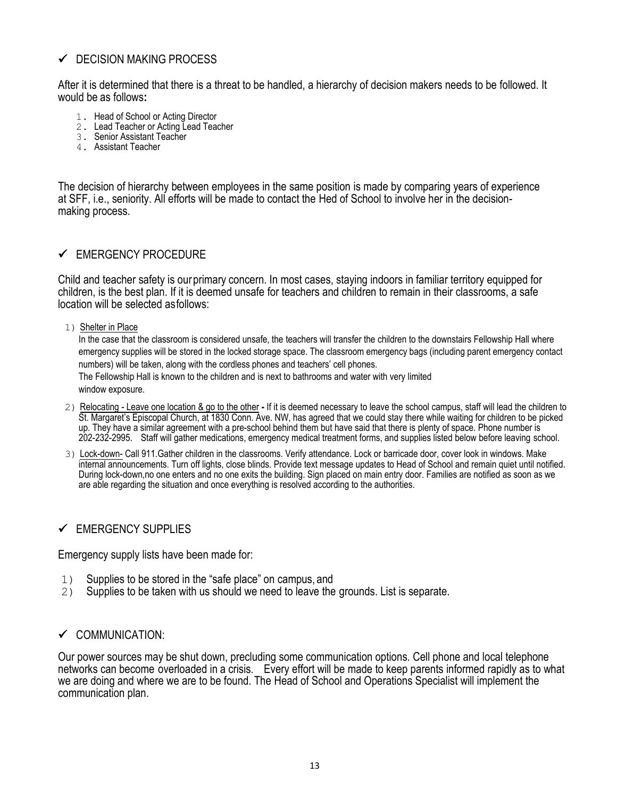# $\checkmark$  DECISION MAKING PROCESS

After it is determined that there is a threat to be handled, a hierarchy of decision makers needs to be followed. It would be as follows**:**

- 1. Head of School or Acting Director
- 2. Lead Teacher or Acting Lead Teacher
- 3. Senior Assistant Teacher
- 4. Assistant Teacher

The decision of hierarchy between employees in the same position is made by comparing years of experience at SFF, i.e., seniority. All efforts will be made to contact the Hed of School to involve her in the decisionmaking process.

# ✓ EMERGENCY PROCEDURE

Child and teacher safety is ourprimary concern. In most cases, staying indoors in familiar territory equipped for children, is the best plan. If it is deemed unsafe for teachers and children to remain in their classrooms, a safe location will be selected asfollows:

#### 1) Shelter in Place

In the case that the classroom is considered unsafe, the teachers will transfer the children to the downstairs Fellowship Hall where emergency supplies will be stored in the locked storage space. The classroom emergency bags (including parent emergency contact numbers) will be taken, along with the cordless phones and teachers' cell phones. The Fellowship Hall is known to the children and is next to bathrooms and water with very limited window exposure.

- 2) Relocating Leave one location & go to the other If it is deemed necessary to leave the school campus, staff will lead the children to St. Margaret's Episcopal Church, at 1830 Conn. Ave. NW, has agreed that we could stay there while waiting for children to be picked up. They have a similar agreement with a pre-school behind them but have said that there is plenty of space. Phone number is 202-232-2995. Staff will gather medications, emergency medical treatment forms, and supplies listed below before leaving school.
- 3) Lock-down- Call 911.Gather children in the classrooms. Verify attendance. Lock or barricade door, cover look in windows. Make internal announcements. Turn off lights, close blinds. Provide text message updates to Head of School and remain quiet until notified. During lock-down,no one enters and no one exits the building. Sign placed on main entry door. Families are notified as soon as we are able regarding the situation and once everything is resolved according to the authorities.

#### ✓ EMERGENCY SUPPLIES

Emergency supply lists have been made for:

- 1) Supplies to be stored in the "safe place" on campus, and
- 2) Supplies to be taken with us should we need to leave the grounds. List is separate.

#### ✓ COMMUNICATION:

Our power sources may be shut down, precluding some communication options. Cell phone and local telephone networks can become overloaded in a crisis. Every effort will be made to keep parents informed rapidly as to what we are doing and where we are to be found. The Head of School and Operations Specialist will implement the communication plan.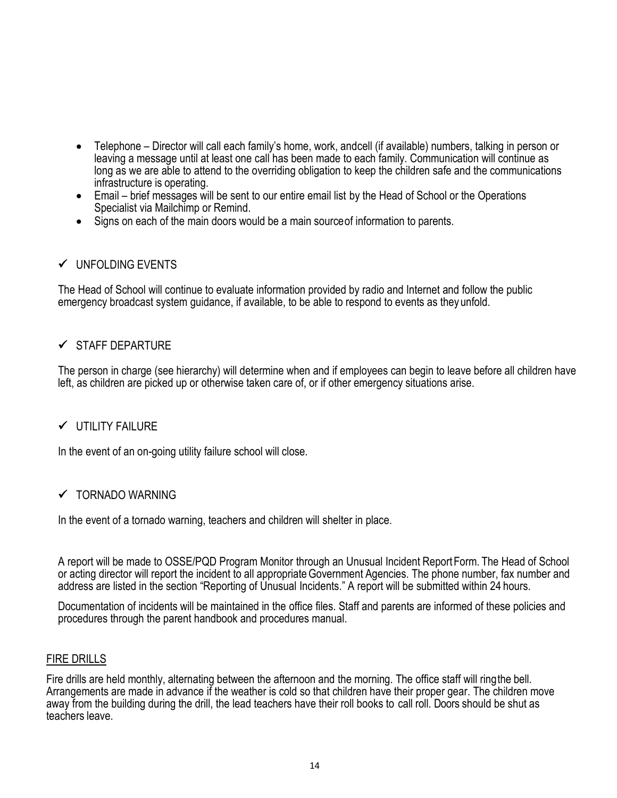- Telephone Director will call each family's home, work, andcell (if available) numbers, talking in person or leaving a message until at least one call has been made to each family. Communication will continue as long as we are able to attend to the overriding obligation to keep the children safe and the communications infrastructure is operating.
- Email brief messages will be sent to our entire email list by the Head of School or the Operations Specialist via Mailchimp or Remind.
- Signs on each of the main doors would be a main source of information to parents.

# ✓ UNFOLDING EVENTS

The Head of School will continue to evaluate information provided by radio and Internet and follow the public emergency broadcast system guidance, if available, to be able to respond to events as they unfold.

# ✓ STAFF DEPARTURE

The person in charge (see hierarchy) will determine when and if employees can begin to leave before all children have left, as children are picked up or otherwise taken care of, or if other emergency situations arise.

### ✓ UTILITY FAILURE

In the event of an on-going utility failure school will close.

### ✓ TORNADO WARNING

In the event of a tornado warning, teachers and children will shelter in place.

A report will be made to OSSE/PQD Program Monitor through an Unusual Incident ReportForm. The Head of School or acting director will report the incident to all appropriateGovernment Agencies. The phone number, fax number and address are listed in the section "Reporting of Unusual Incidents." A report will be submitted within 24 hours.

Documentation of incidents will be maintained in the office files. Staff and parents are informed of these policies and procedures through the parent handbook and procedures manual.

#### FIRE DRILLS

Fire drills are held monthly, alternating between the afternoon and the morning. The office staff will ringthe bell. Arrangements are made in advance if the weather is cold so that children have their proper gear. The children move away from the building during the drill, the lead teachers have their roll books to call roll. Doors should be shut as teachers leave.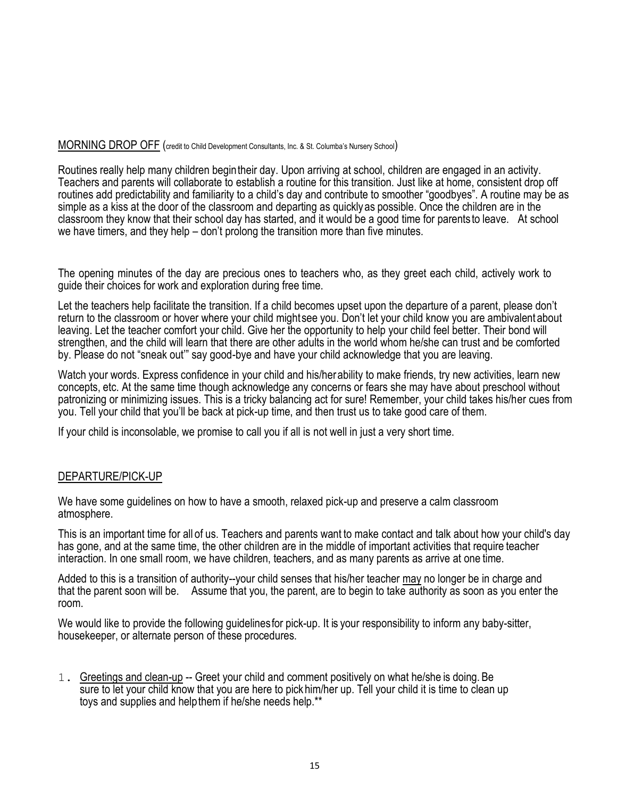#### MORNING DROP OFF (credit to Child Development Consultants, Inc. & St. Columba's Nursery School)

Routines really help many children begintheir day. Upon arriving at school, children are engaged in an activity. Teachers and parents will collaborate to establish a routine for this transition. Just like at home, consistent drop off routines add predictability and familiarity to a child's day and contribute to smoother "goodbyes". A routine may be as simple as a kiss at the door of the classroom and departing as quicklyas possible. Once the children are in the classroom they know that their school day has started, and it would be a good time for parentsto leave. At school we have timers, and they help – don't prolong the transition more than five minutes.

The opening minutes of the day are precious ones to teachers who, as they greet each child, actively work to guide their choices for work and exploration during free time.

Let the teachers help facilitate the transition. If a child becomes upset upon the departure of a parent, please don't return to the classroom or hover where your child mightsee you. Don't let your child know you are ambivalent about leaving. Let the teacher comfort your child. Give her the opportunity to help your child feel better. Their bond will strengthen, and the child will learn that there are other adults in the world whom he/she can trust and be comforted by. Please do not "sneak out'" say good-bye and have your child acknowledge that you are leaving.

Watch your words. Express confidence in your child and his/herability to make friends, try new activities, learn new concepts, etc. At the same time though acknowledge any concerns or fears she may have about preschool without patronizing or minimizing issues. This is a tricky balancing act for sure! Remember, your child takes his/her cues from you. Tell your child that you'll be back at pick-up time, and then trust us to take good care of them.

If your child is inconsolable, we promise to call you if all is not well in just a very short time.

#### DEPARTURE/PICK-UP

We have some guidelines on how to have a smooth, relaxed pick-up and preserve a calm classroom atmosphere.

This is an important time for all of us. Teachers and parents want to make contact and talk about how your child's day has gone, and at the same time, the other children are in the middle of important activities that require teacher interaction. In one small room, we have children, teachers, and as many parents as arrive at one time.

Added to this is a transition of authority--your child senses that his/her teacher may no longer be in charge and that the parent soon will be. Assume that you, the parent, are to begin to take authority as soon as you enter the room.

We would like to provide the following guidelinesfor pick-up. It is your responsibility to inform any baby-sitter, housekeeper, or alternate person of these procedures.

1. Greetings and clean-up -- Greet your child and comment positively on what he/she is doing. Be sure to let your child know that you are here to pickhim/her up. Tell your child it is time to clean up toys and supplies and help them if he/she needs help.\*\*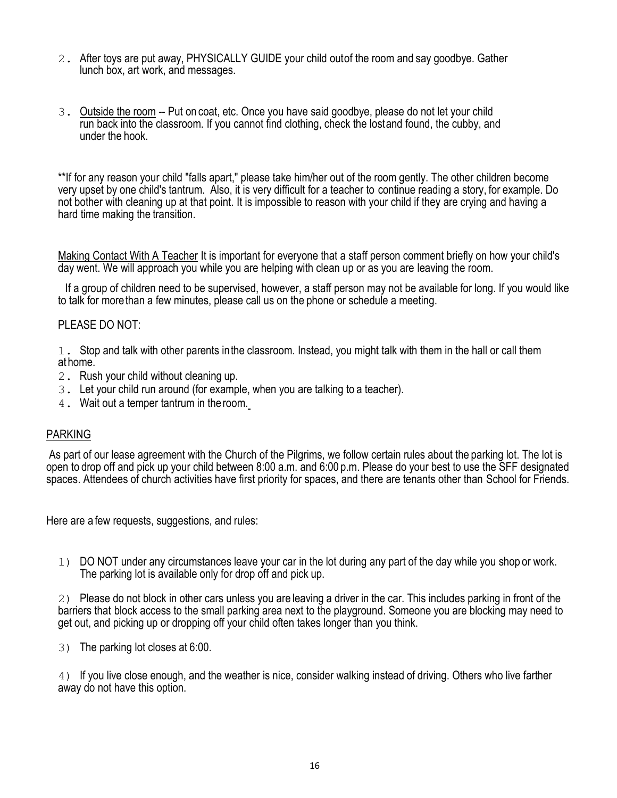- 2. After toys are put away, PHYSICALLY GUIDE your child outof the room and say goodbye. Gather lunch box, art work, and messages.
- 3. Outside the room -- Put on coat, etc. Once you have said goodbye, please do not let your child run back into the classroom. If you cannot find clothing, check the lostand found, the cubby, and under the hook.

\*\*If for any reason your child "falls apart," please take him/her out of the room gently. The other children become very upset by one child's tantrum. Also, it is very difficult for a teacher to continue reading a story, for example. Do not bother with cleaning up at that point. It is impossible to reason with your child if they are crying and having a hard time making the transition.

Making Contact With A Teacher It is important for everyone that a staff person comment briefly on how your child's day went. We will approach you while you are helping with clean up or as you are leaving the room.

If a group of children need to be supervised, however, a staff person may not be available for long. If you would like to talk for morethan a few minutes, please call us on the phone or schedule a meeting.

#### PLEASE DO NOT<sup>.</sup>

1. Stop and talk with other parents inthe classroom. Instead, you might talk with them in the hall or call them at home.

- 2. Rush your child without cleaning up.
- 3. Let your child run around (for example, when you are talking to a teacher).
- 4. Wait out a temper tantrum in theroom.

#### PARKING

As part of our lease agreement with the Church of the Pilgrims, we follow certain rules about the parking lot. The lot is open to drop off and pick up your child between 8:00 a.m. and 6:00 p.m. Please do your best to use the SFF designated spaces. Attendees of church activities have first priority for spaces, and there are tenants other than School for Friends.

Here are a few requests, suggestions, and rules:

1) DO NOT under any circumstances leave your car in the lot during any part of the day while you shop or work. The parking lot is available only for drop off and pick up.

2) Please do not block in other cars unless you are leaving a driver in the car. This includes parking in front of the barriers that block access to the small parking area next to the playground. Someone you are blocking may need to get out, and picking up or dropping off your child often takes longer than you think.

3) The parking lot closes at 6:00.

4) If you live close enough, and the weather is nice, consider walking instead of driving. Others who live farther away do not have this option.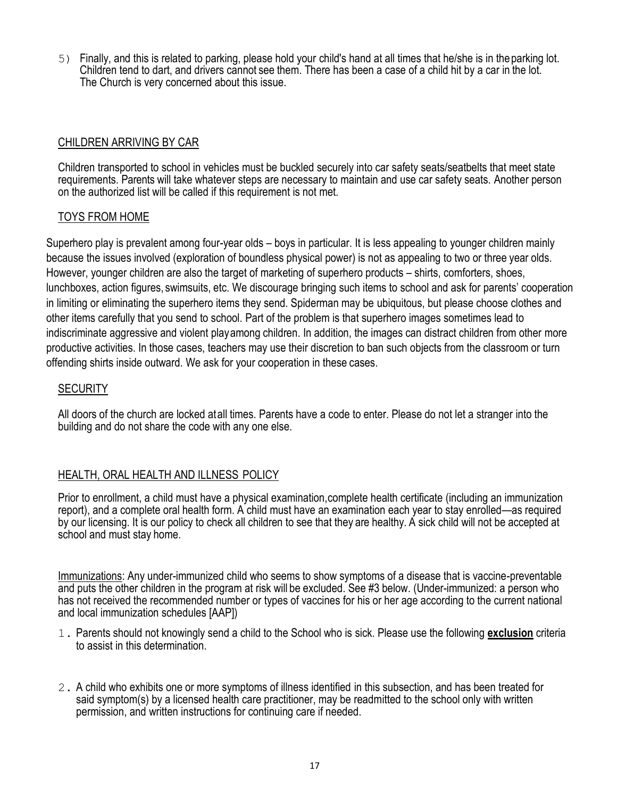5) Finally, and this is related to parking, please hold your child's hand at all times that he/she is in theparking lot. Children tend to dart, and drivers cannot see them. There has been a case of a child hit by a car in the lot. The Church is very concerned about this issue.

### CHILDREN ARRIVING BY CAR

Children transported to school in vehicles must be buckled securely into car safety seats/seatbelts that meet state requirements. Parents will take whatever steps are necessary to maintain and use car safety seats. Another person on the authorized list will be called if this requirement is not met.

### TOYS FROM HOME

Superhero play is prevalent among four-year olds – boys in particular. It is less appealing to younger children mainly because the issues involved (exploration of boundless physical power) is not as appealing to two or three year olds. However, younger children are also the target of marketing of superhero products – shirts, comforters, shoes, lunchboxes, action figures, swimsuits, etc. We discourage bringing such items to school and ask for parents' cooperation in limiting or eliminating the superhero items they send. Spiderman may be ubiquitous, but please choose clothes and other items carefully that you send to school. Part of the problem is that superhero images sometimes lead to indiscriminate aggressive and violent playamong children. In addition, the images can distract children from other more productive activities. In those cases, teachers may use their discretion to ban such objects from the classroom or turn offending shirts inside outward. We ask for your cooperation in these cases.

#### **SECURITY**

All doors of the church are locked atall times. Parents have a code to enter. Please do not let a stranger into the building and do not share the code with any one else.

### HEALTH, ORAL HEALTH AND ILLNESS POLICY

Prior to enrollment, a child must have a physical examination,complete health certificate (including an immunization report), and a complete oral health form. A child must have an examination each year to stay enrolled—as required by our licensing. It is our policy to check all children to see that they are healthy. A sick child will not be accepted at school and must stay home.

Immunizations: Any under-immunized child who seems to show symptoms of a disease that is vaccine-preventable and puts the other children in the program at risk will be excluded. See #3 below. (Under-immunized: a person who has not received the recommended number or types of vaccines for his or her age according to the current national and local immunization schedules [AAP])

- 1. Parents should not knowingly send a child to the School who is sick. Please use the following **exclusion** criteria to assist in this determination.
- 2. A child who exhibits one or more symptoms of illness identified in this subsection, and has been treated for said symptom(s) by a licensed health care practitioner, may be readmitted to the school only with written permission, and written instructions for continuing care if needed.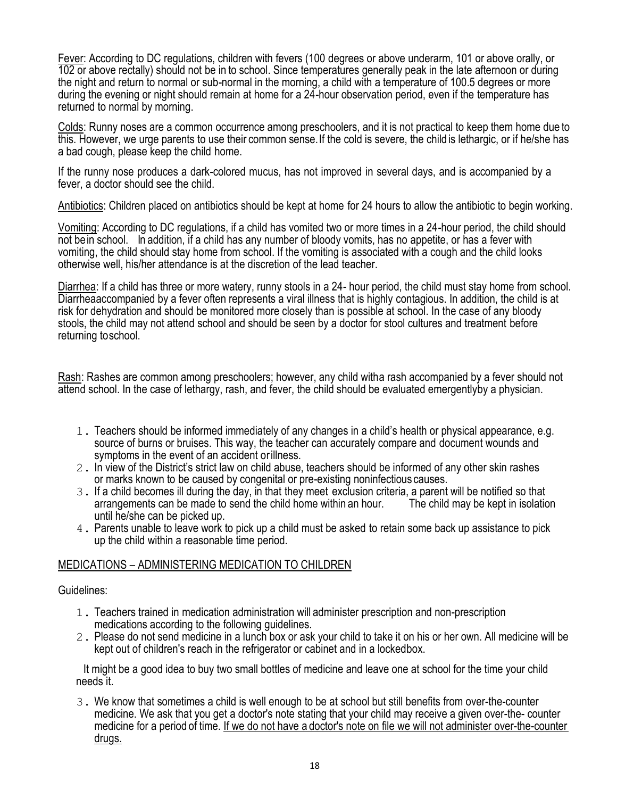Fever: According to DC regulations, children with fevers (100 degrees or above underarm, 101 or above orally, or 102 or above rectally) should not be in to school. Since temperatures generally peak in the late afternoon or during the night and return to normal or sub-normal in the morning, a child with a temperature of 100.5 degrees or more during the evening or night should remain at home for a 24-hour observation period, even if the temperature has returned to normal by morning.

Colds: Runny noses are a common occurrence among preschoolers, and it is not practical to keep them home due to this. However, we urge parents to use their common sense.If the cold is severe, the child is lethargic, or if he/she has a bad cough, please keep the child home.

If the runny nose produces a dark-colored mucus, has not improved in several days, and is accompanied by a fever, a doctor should see the child.

Antibiotics: Children placed on antibiotics should be kept at home for 24 hours to allow the antibiotic to begin working.

Vomiting: According to DC regulations, if a child has vomited two or more times in a 24-hour period, the child should not bein school. In addition, if a child has any number of bloody vomits, has no appetite, or has a fever with vomiting, the child should stay home from school. If the vomiting is associated with a cough and the child looks otherwise well, his/her attendance is at the discretion of the lead teacher.

Diarrhea: If a child has three or more watery, runny stools in a 24- hour period, the child must stay home from school. Diarrheaaccompanied by a fever often represents a viral illness that is highly contagious. In addition, the child is at risk for dehydration and should be monitored more closely than is possible at school. In the case of any bloody stools, the child may not attend school and should be seen by a doctor for stool cultures and treatment before returning toschool.

Rash: Rashes are common among preschoolers; however, any child witha rash accompanied by a fever should not attend school. In the case of lethargy, rash, and fever, the child should be evaluated emergentlyby a physician.

- 1. Teachers should be informed immediately of any changes in a child's health or physical appearance, e.g. source of burns or bruises. This way, the teacher can accurately compare and document wounds and symptoms in the event of an accident orillness.
- 2. In view of the District's strict law on child abuse, teachers should be informed of any other skin rashes or marks known to be caused by congenital or pre-existing noninfectious causes.
- 3. If a child becomes ill during the day, in that they meet exclusion criteria, a parent will be notified so that arrangements can be made to send the child home within an hour. until he/she can be picked up.
- 4. Parents unable to leave work to pick up a child must be asked to retain some back up assistance to pick up the child within a reasonable time period.

### MEDICATIONS – ADMINISTERING MEDICATION TO CHILDREN

#### Guidelines:

- 1. Teachers trained in medication administration will administer prescription and non-prescription medications according to the following guidelines.
- 2. Please do not send medicine in a lunch box or ask your child to take it on his or her own. All medicine will be kept out of children's reach in the refrigerator or cabinet and in a lockedbox.

It might be a good idea to buy two small bottles of medicine and leave one at school for the time your child needs it.

3. We know that sometimes a child is well enough to be at school but still benefits from over-the-counter medicine. We ask that you get a doctor's note stating that your child may receive a given over-the- counter medicine for a period of time. If we do not have a doctor's note on file we will not administer over-the-counter drugs.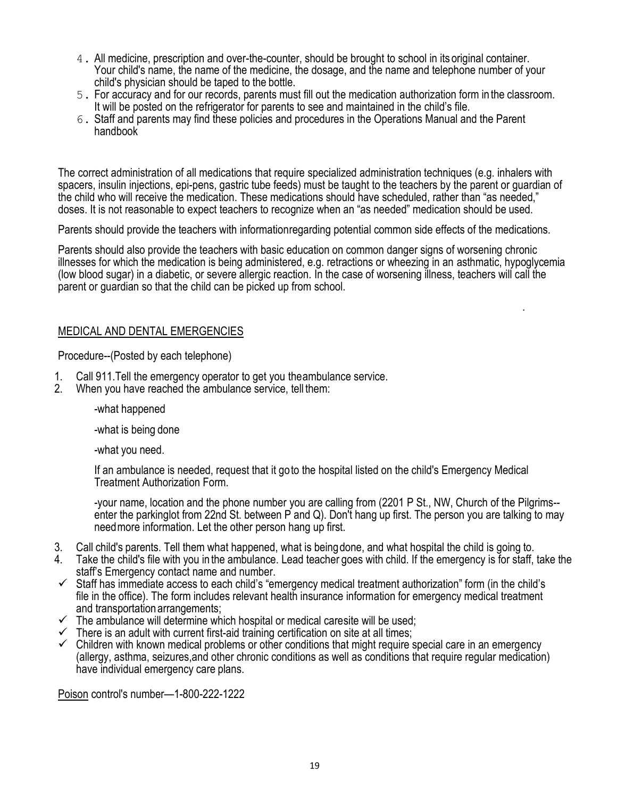- 4. All medicine, prescription and over-the-counter, should be brought to school in its original container. Your child's name, the name of the medicine, the dosage, and the name and telephone number of your child's physician should be taped to the bottle.
- 5. For accuracy and for our records, parents must fill out the medication authorization form in the classroom. It will be posted on the refrigerator for parents to see and maintained in the child's file.
- 6. Staff and parents may find these policies and procedures in the Operations Manual and the Parent handbook

The correct administration of all medications that require specialized administration techniques (e.g. inhalers with spacers, insulin injections, epi-pens, gastric tube feeds) must be taught to the teachers by the parent or guardian of the child who will receive the medication. These medications should have scheduled, rather than "as needed," doses. It is not reasonable to expect teachers to recognize when an "as needed" medication should be used.

Parents should provide the teachers with informationregarding potential common side effects of the medications.

Parents should also provide the teachers with basic education on common danger signs of worsening chronic illnesses for which the medication is being administered, e.g. retractions or wheezing in an asthmatic, hypoglycemia (low blood sugar) in a diabetic, or severe allergic reaction. In the case of worsening illness, teachers will call the parent or guardian so that the child can be picked up from school.

.

#### MEDICAL AND DENTAL EMERGENCIES

Procedure--(Posted by each telephone)

- 1. Call 911.Tell the emergency operator to get you theambulance service.
- 2. When you have reached the ambulance service, tell them:

-what happened

-what is being done

-what you need.

If an ambulance is needed, request that it goto the hospital listed on the child's Emergency Medical Treatment Authorization Form.

-your name, location and the phone number you are calling from (2201 P St., NW, Church of the Pilgrims- enter the parkinglot from 22nd St. between P and Q). Don't hang up first. The person you are talking to may needmore information. Let the other person hang up first.

- 3. Call child's parents. Tell them what happened, what is beingdone, and what hospital the child is going to.
- 4. Take the child's file with you in the ambulance. Lead teacher goes with child. If the emergency is for staff, take the staff's Emergency contact name and number.
- $\checkmark$  Staff has immediate access to each child's "emergency medical treatment authorization" form (in the child's file in the office). The form includes relevant health insurance information for emergency medical treatment and transportation arrangements;
- $\checkmark$  The ambulance will determine which hospital or medical caresite will be used;
- $\checkmark$  There is an adult with current first-aid training certification on site at all times;
- $\checkmark$  Children with known medical problems or other conditions that might require special care in an emergency (allergy, asthma, seizures,and other chronic conditions as well as conditions that require regular medication) have individual emergency care plans.

Poison control's number—1-800-222-1222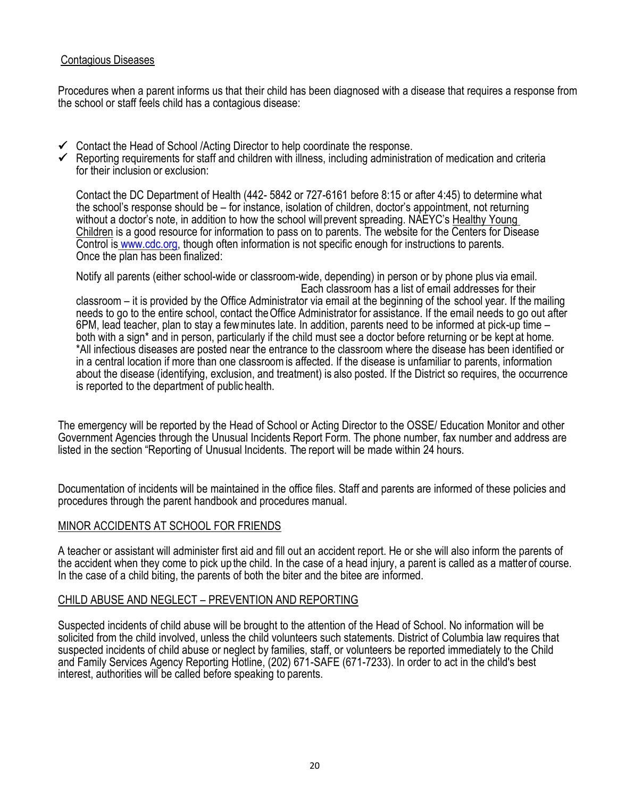### Contagious Diseases

Procedures when a parent informs us that their child has been diagnosed with a disease that requires a response from the school or staff feels child has a contagious disease:

- ✓ Contact the Head of School /Acting Director to help coordinate the response.
- ✓ Reporting requirements for staff and children with illness, including administration of medication and criteria for their inclusion or exclusion:

Contact the DC Department of Health (442- 5842 or 727-6161 before 8:15 or after 4:45) to determine what the school's response should be – for instance, isolation of children, doctor's appointment, not returning without a doctor's note, in addition to how the school will prevent spreading. NAEYC's Healthy Young Children is a good resource for information to pass on to parents. The website for the Centers for Disease Control is [www.cdc.org,](http://www.cdc.org/) though often information is not specific enough for instructions to parents. Once the plan has been finalized:

Notify all parents (either school-wide or classroom-wide, depending) in person or by phone plus via email. Each classroom has a list of email addresses for their

classroom – it is provided by the Office Administrator via email at the beginning of the school year. If the mailing needs to go to the entire school, contact theOffice Administrator for assistance. If the email needs to go out after 6PM, lead teacher, plan to stay a fewminutes late. In addition, parents need to be informed at pick-up time – both with a sign\* and in person, particularly if the child must see a doctor before returning or be kept at home. \*All infectious diseases are posted near the entrance to the classroom where the disease has been identified or in a central location if more than one classroomis affected. If the disease is unfamiliar to parents, information about the disease (identifying, exclusion, and treatment) is also posted. If the District so requires, the occurrence is reported to the department of public health.

The emergency will be reported by the Head of School or Acting Director to the OSSE/ Education Monitor and other Government Agencies through the Unusual Incidents Report Form. The phone number, fax number and address are listed in the section "Reporting of Unusual Incidents. The report will be made within 24 hours.

Documentation of incidents will be maintained in the office files. Staff and parents are informed of these policies and procedures through the parent handbook and procedures manual.

### MINOR ACCIDENTS AT SCHOOL FOR FRIENDS

A teacher or assistant will administer first aid and fill out an accident report. He or she will also inform the parents of the accident when they come to pick up the child. In the case of a head injury, a parent is called as a matter of course. In the case of a child biting, the parents of both the biter and the bitee are informed.

#### CHILD ABUSE AND NEGLECT – PREVENTION AND REPORTING

Suspected incidents of child abuse will be brought to the attention of the Head of School. No information will be solicited from the child involved, unless the child volunteers such statements. District of Columbia law requires that suspected incidents of child abuse or neglect by families, staff, or volunteers be reported immediately to the Child and Family Services Agency Reporting Hotline, (202) 671-SAFE (671-7233). In order to act in the child's best interest, authorities will be called before speaking to parents.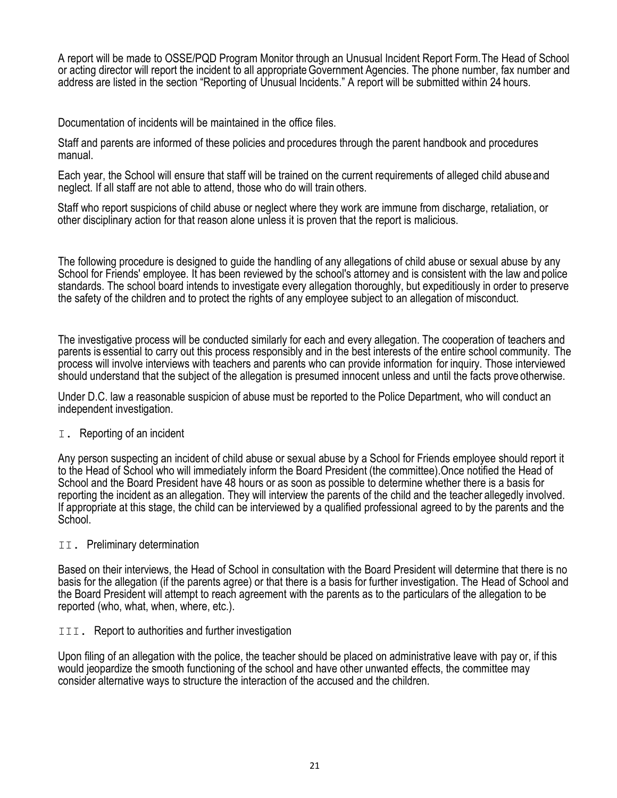A report will be made to OSSE/PQD Program Monitor through an Unusual Incident Report Form.The Head of School or acting director will report the incident to all appropriateGovernment Agencies. The phone number, fax number and address are listed in the section "Reporting of Unusual Incidents." A report will be submitted within 24 hours.

Documentation of incidents will be maintained in the office files.

Staff and parents are informed of these policies and procedures through the parent handbook and procedures manual.

Each year, the School will ensure that staff will be trained on the current requirements of alleged child abuseand neglect. If all staff are not able to attend, those who do will train others.

Staff who report suspicions of child abuse or neglect where they work are immune from discharge, retaliation, or other disciplinary action for that reason alone unless it is proven that the report is malicious.

The following procedure is designed to guide the handling of any allegations of child abuse or sexual abuse by any School for Friends' employee. It has been reviewed by the school's attorney and is consistent with the law and police standards. The school board intends to investigate every allegation thoroughly, but expeditiously in order to preserve the safety of the children and to protect the rights of any employee subject to an allegation of misconduct.

The investigative process will be conducted similarly for each and every allegation. The cooperation of teachers and parents is essential to carry out this process responsibly and in the best interests of the entire school community. The process will involve interviews with teachers and parents who can provide information for inquiry. Those interviewed should understand that the subject of the allegation is presumed innocent unless and until the facts prove otherwise.

Under D.C. law a reasonable suspicion of abuse must be reported to the Police Department, who will conduct an independent investigation.

#### I. Reporting of an incident

Any person suspecting an incident of child abuse or sexual abuse by a School for Friends employee should report it to the Head of School who will immediately inform the Board President (the committee).Once notified the Head of School and the Board President have 48 hours or as soon as possible to determine whether there is a basis for reporting the incident as an allegation. They will interview the parents of the child and the teacher allegedly involved. If appropriate at this stage, the child can be interviewed by a qualified professional agreed to by the parents and the School.

#### II. Preliminary determination

Based on their interviews, the Head of School in consultation with the Board President will determine that there is no basis for the allegation (if the parents agree) or that there is a basis for further investigation. The Head of School and the Board President will attempt to reach agreement with the parents as to the particulars of the allegation to be reported (who, what, when, where, etc.).

#### III. Report to authorities and further investigation

Upon filing of an allegation with the police, the teacher should be placed on administrative leave with pay or, if this would jeopardize the smooth functioning of the school and have other unwanted effects, the committee may consider alternative ways to structure the interaction of the accused and the children.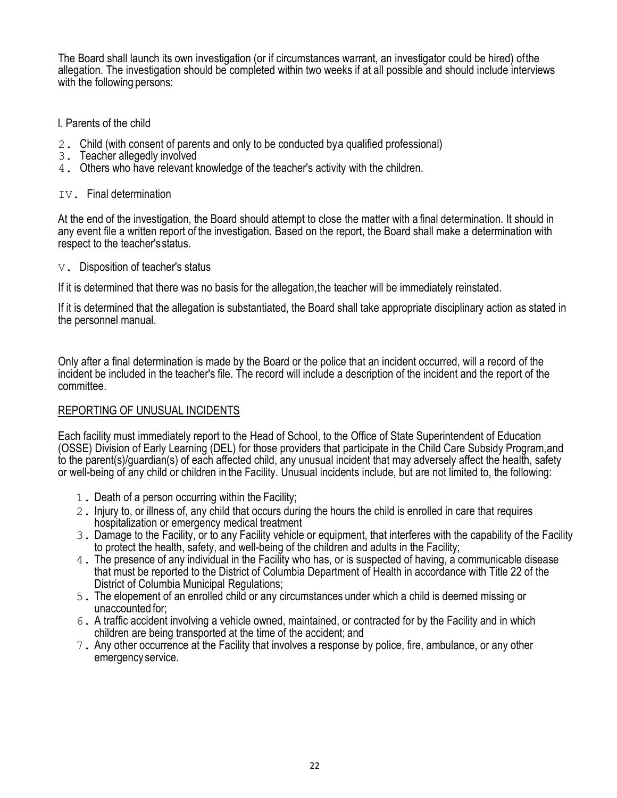The Board shall launch its own investigation (or if circumstances warrant, an investigator could be hired) ofthe allegation. The investigation should be completed within two weeks if at all possible and should include interviews with the following persons:

### l. Parents of the child

- 2. Child (with consent of parents and only to be conducted bya qualified professional)
- 3. Teacher allegedly involved
- 4. Others who have relevant knowledge of the teacher's activity with the children.

#### IV. Final determination

At the end of the investigation, the Board should attempt to close the matter with a final determination. It should in any event file a written report of the investigation. Based on the report, the Board shall make a determination with respect to the teacher'sstatus.

V. Disposition of teacher's status

If it is determined that there was no basis for the allegation,the teacher will be immediately reinstated.

If it is determined that the allegation is substantiated, the Board shall take appropriate disciplinary action as stated in the personnel manual.

Only after a final determination is made by the Board or the police that an incident occurred, will a record of the incident be included in the teacher's file. The record will include a description of the incident and the report of the committee.

### REPORTING OF UNUSUAL INCIDENTS

Each facility must immediately report to the Head of School, to the Office of State Superintendent of Education (OSSE) Division of Early Learning (DEL) for those providers that participate in the Child Care Subsidy Program,and to the parent(s)/guardian(s) of each affected child, any unusual incident that may adversely affect the health, safety or well-being of any child or children in the Facility. Unusual incidents include, but are not limited to, the following:

- 1. Death of a person occurring within the Facility;
- 2. Injury to, or illness of, any child that occurs during the hours the child is enrolled in care that requires hospitalization or emergency medical treatment
- 3. Damage to the Facility, or to any Facility vehicle or equipment, that interferes with the capability of the Facility to protect the health, safety, and well-being of the children and adults in the Facility;
- 4. The presence of any individual in the Facility who has, or is suspected of having, a communicable disease that must be reported to the District of Columbia Department of Health in accordance with Title 22 of the District of Columbia Municipal Regulations;
- 5. The elopement of an enrolled child or any circumstances under which a child is deemed missing or unaccounted for;
- 6. A traffic accident involving a vehicle owned, maintained, or contracted for by the Facility and in which children are being transported at the time of the accident; and
- 7. Any other occurrence at the Facility that involves a response by police, fire, ambulance, or any other emergency service.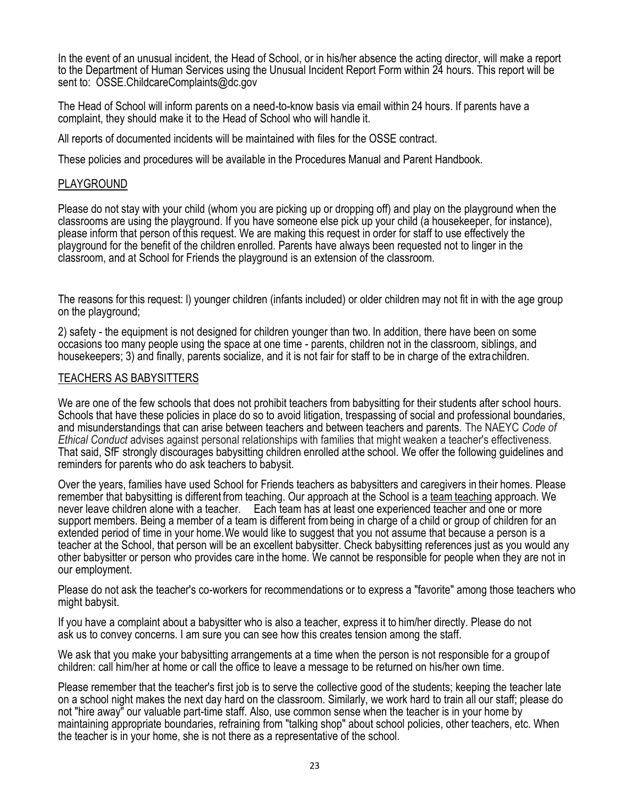In the event of an unusual incident, the Head of School, or in his/her absence the acting director, will make a report to the Department of Human Services using the Unusual Incident Report Form within 24 hours. This report will be sent to: OSSE.ChildcareComplaints@dc.gov

The Head of School will inform parents on a need-to-know basis via email within 24 hours. If parents have a complaint, they should make it to the Head of School who will handle it.

All reports of documented incidents will be maintained with files for the OSSE contract.

These policies and procedures will be available in the Procedures Manual and Parent Handbook.

#### PLAYGROUND

Please do not stay with your child (whom you are picking up or dropping off) and play on the playground when the classrooms are using the playground. If you have someone else pick up your child (a housekeeper, for instance), please inform that person of this request. We are making this request in order for staff to use effectively the playground for the benefit of the children enrolled. Parents have always been requested not to linger in the classroom, and at School for Friends the playground is an extension of the classroom.

The reasons for this request: l) younger children (infants included) or older children may not fit in with the age group on the playground;

2) safety - the equipment is not designed for children younger than two. In addition, there have been on some occasions too many people using the space at one time - parents, children not in the classroom, siblings, and housekeepers; 3) and finally, parents socialize, and it is not fair for staff to be in charge of the extrachildren.

#### TEACHERS AS BABYSITTERS

We are one of the few schools that does not prohibit teachers from babysitting for their students after school hours. Schools that have these policies in place do so to avoid litigation, trespassing of social and professional boundaries, and misunderstandings that can arise between teachers and between teachers and parents. The NAEYC *Code of Ethical Conduct* advises against personal relationships with families that might weaken a teacher's effectiveness. That said, SfF strongly discourages babysitting children enrolled atthe school. We offer the following guidelines and reminders for parents who do ask teachers to babysit.

Over the years, families have used School for Friends teachers as babysitters and caregivers in their homes. Please remember that babysitting is different from teaching. Our approach at the School is a team teaching approach. We never leave children alone with a teacher. Each team has at least one experienced teacher and one or more support members. Being a member of a team is different frombeing in charge of a child or group of children for an extended period of time in your home.We would like to suggest that you not assume that because a person is a teacher at the School, that person will be an excellent babysitter. Check babysitting references just as you would any other babysitter or person who provides care inthe home. We cannot be responsible for people when they are not in our employment.

Please do not ask the teacher's co-workers for recommendations or to express a "favorite" among those teachers who might babysit.

If you have a complaint about a babysitter who is also a teacher, express it to him/her directly. Please do not ask us to convey concerns. I am sure you can see how this creates tension among the staff.

We ask that you make your babysitting arrangements at a time when the person is not responsible for a group of children: call him/her at home or call the office to leave a message to be returned on his/her own time.

Please remember that the teacher's first job is to serve the collective good of the students; keeping the teacher late on a school night makes the next day hard on the classroom. Similarly, we work hard to train all our staff; please do not "hire away" our valuable part-time staff. Also, use common sense when the teacher is in your home by maintaining appropriate boundaries, refraining from "talking shop" about school policies, other teachers, etc. When the teacher is in your home, she is not there as a representative of the school.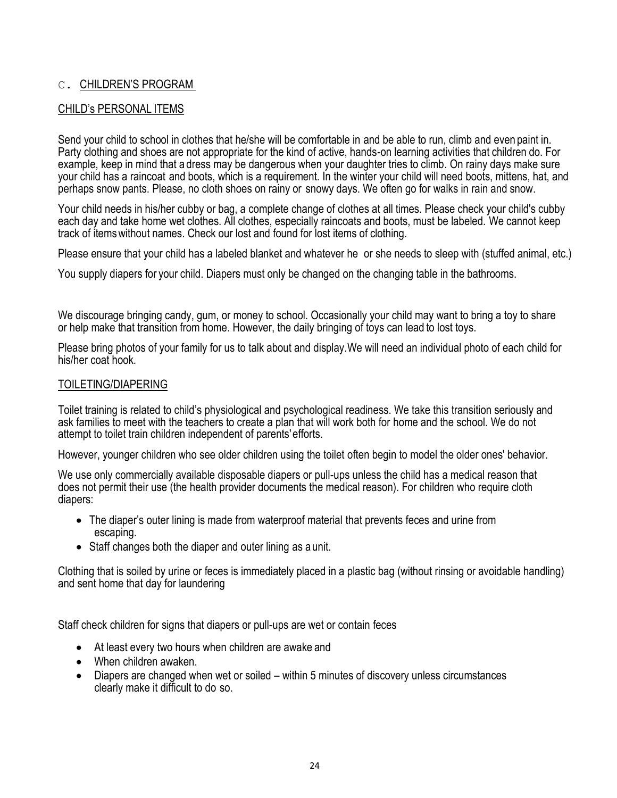## C. CHILDREN'S PROGRAM

### CHILD's PERSONAL ITEMS

Send your child to school in clothes that he/she will be comfortable in and be able to run, climb and even paint in. Party clothing and shoes are not appropriate for the kind of active, hands-on learning activities that children do. For example, keep in mind that a dress may be dangerous when your daughter tries to climb. On rainy days make sure your child has a raincoat and boots, which is a requirement. In the winter your child will need boots, mittens, hat, and perhaps snow pants. Please, no cloth shoes on rainy or snowy days. We often go for walks in rain and snow.

Your child needs in his/her cubby or bag, a complete change of clothes at all times. Please check your child's cubby each day and take home wet clothes. All clothes, especially raincoats and boots, must be labeled. We cannot keep track of itemswithout names. Check our lost and found for lost items of clothing.

Please ensure that your child has a labeled blanket and whatever he or she needs to sleep with (stuffed animal, etc.)

You supply diapers for your child. Diapers must only be changed on the changing table in the bathrooms.

We discourage bringing candy, gum, or money to school. Occasionally your child may want to bring a toy to share or help make that transition from home. However, the daily bringing of toys can lead to lost toys.

Please bring photos of your family for us to talk about and display.We will need an individual photo of each child for his/her coat hook.

### TOILETING/DIAPERING

Toilet training is related to child's physiological and psychological readiness. We take this transition seriously and ask families to meet with the teachers to create a plan that will work both for home and the school. We do not attempt to toilet train children independent of parents'efforts.

However, younger children who see older children using the toilet often begin to model the older ones' behavior.

We use only commercially available disposable diapers or pull-ups unless the child has a medical reason that does not permit their use (the health provider documents the medical reason). For children who require cloth diapers:

- The diaper's outer lining is made from waterproof material that prevents feces and urine from escaping.
- Staff changes both the diaper and outer lining as a unit.

Clothing that is soiled by urine or feces is immediately placed in a plastic bag (without rinsing or avoidable handling) and sent home that day for laundering

Staff check children for signs that diapers or pull-ups are wet or contain feces

- At least every two hours when children are awake and
- When children awaken.
- Diapers are changed when wet or soiled within 5 minutes of discovery unless circumstances clearly make it difficult to do so.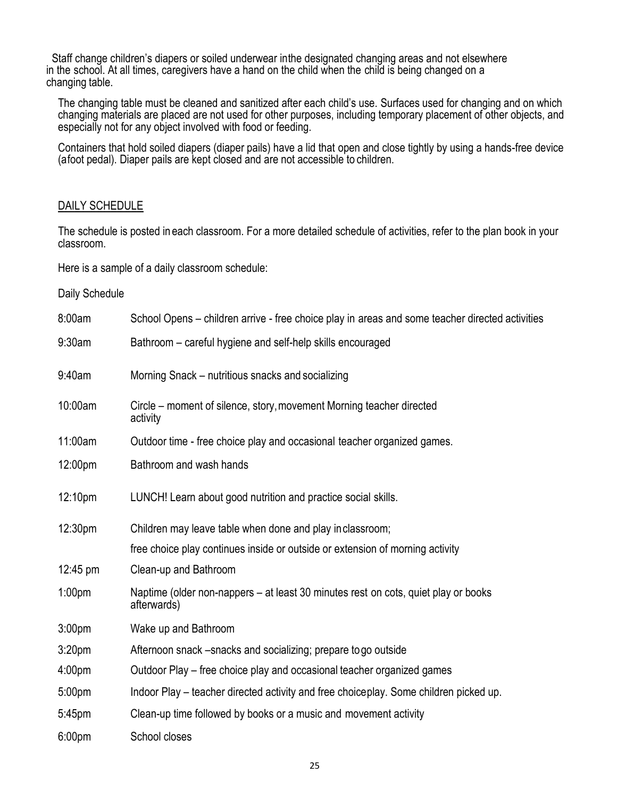Staff change children's diapers or soiled underwear inthe designated changing areas and not elsewhere in the school. At all times, caregivers have a hand on the child when the child is being changed on a changing table.

The changing table must be cleaned and sanitized after each child's use. Surfaces used for changing and on which changing materials are placed are not used for other purposes, including temporary placement of other objects, and especially not for any object involved with food or feeding.

Containers that hold soiled diapers (diaper pails) have a lid that open and close tightly by using a hands-free device (afoot pedal). Diaper pails are kept closed and are not accessible to children.

#### DAILY SCHEDULE

The schedule is posted in each classroom. For a more detailed schedule of activities, refer to the plan book in your classroom.

Here is a sample of a daily classroom schedule:

#### Daily Schedule

| 8:00am             | School Opens - children arrive - free choice play in areas and some teacher directed activities   |
|--------------------|---------------------------------------------------------------------------------------------------|
| 9:30am             | Bathroom - careful hygiene and self-help skills encouraged                                        |
| 9:40am             | Morning Snack – nutritious snacks and socializing                                                 |
| 10:00am            | Circle - moment of silence, story, movement Morning teacher directed<br>activity                  |
| 11:00am            | Outdoor time - free choice play and occasional teacher organized games.                           |
| 12:00pm            | Bathroom and wash hands                                                                           |
| 12:10pm            | LUNCH! Learn about good nutrition and practice social skills.                                     |
| 12:30pm            | Children may leave table when done and play inclassroom;                                          |
|                    | free choice play continues inside or outside or extension of morning activity                     |
| $12:45 \text{ pm}$ | Clean-up and Bathroom                                                                             |
| 1:00 <sub>pm</sub> | Naptime (older non-nappers – at least 30 minutes rest on cots, quiet play or books<br>afterwards) |
| 3:00 <sub>pm</sub> | Wake up and Bathroom                                                                              |
| 3:20 <sub>pm</sub> | Afternoon snack -snacks and socializing; prepare togo outside                                     |
| 4:00 <sub>pm</sub> | Outdoor Play – free choice play and occasional teacher organized games                            |
| 5:00pm             | Indoor Play – teacher directed activity and free choiceplay. Some children picked up.             |
| 5:45pm             | Clean-up time followed by books or a music and movement activity                                  |
| 6:00 <sub>pm</sub> | School closes                                                                                     |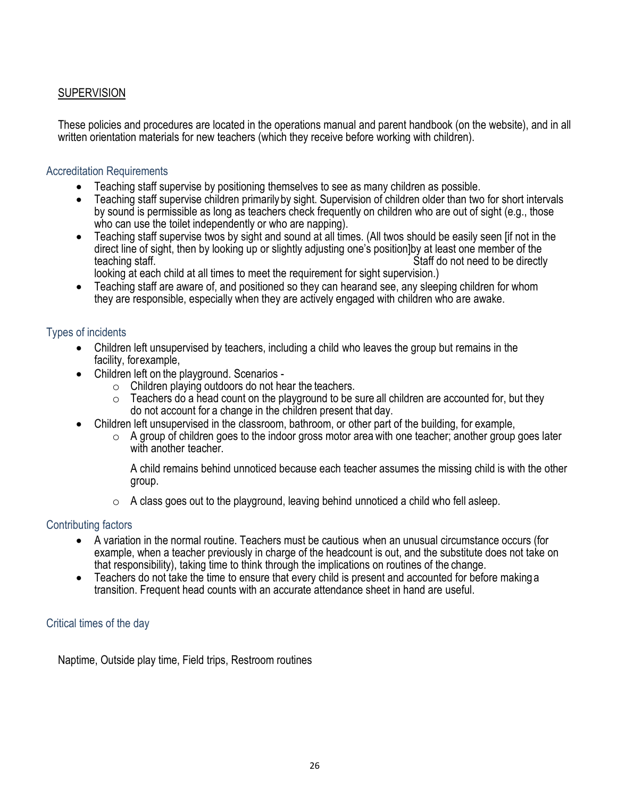# **SUPERVISION**

These policies and procedures are located in the operations manual and parent handbook (on the website), and in all written orientation materials for new teachers (which they receive before working with children).

### Accreditation Requirements

- Teaching staff supervise by positioning themselves to see as many children as possible.
- Teaching staff supervise children primarilyby sight. Supervision of children older than two for short intervals by sound is permissible as long as teachers check frequently on children who are out of sight (e.g., those who can use the toilet independently or who are napping).
- Teaching staff supervise twos by sight and sound at all times. (All twos should be easily seen [if not in the direct line of sight, then by looking up or slightly adjusting one's position]by at least one member of the teaching staff. The state of the state of the state of the Staff do not need to be directly
	- looking at each child at all times to meet the requirement for sight supervision.)
- Teaching staff are aware of, and positioned so they can hearand see, any sleeping children for whom they are responsible, especially when they are actively engaged with children who are awake.

### Types of incidents

- Children left unsupervised by teachers, including a child who leaves the group but remains in the facility, forexample,
- Children left on the playground. Scenarios
	- $\circ$  Children playing outdoors do not hear the teachers.
	- $\circ$  Teachers do a head count on the playground to be sure all children are accounted for, but they do not account for a change in the children present that day.
- Children left unsupervised in the classroom, bathroom, or other part of the building, for example,
	- $\circ$  A group of children goes to the indoor gross motor area with one teacher; another group goes later with another teacher.

A child remains behind unnoticed because each teacher assumes the missing child is with the other group.

 $\circ$  A class goes out to the playground, leaving behind unnoticed a child who fell asleep.

### Contributing factors

- A variation in the normal routine. Teachers must be cautious when an unusual circumstance occurs (for example, when a teacher previously in charge of the headcount is out, and the substitute does not take on that responsibility), taking time to think through the implications on routines of the change.
- Teachers do not take the time to ensure that every child is present and accounted for before making a transition. Frequent head counts with an accurate attendance sheet in hand are useful.

#### Critical times of the day

Naptime, Outside play time, Field trips, Restroom routines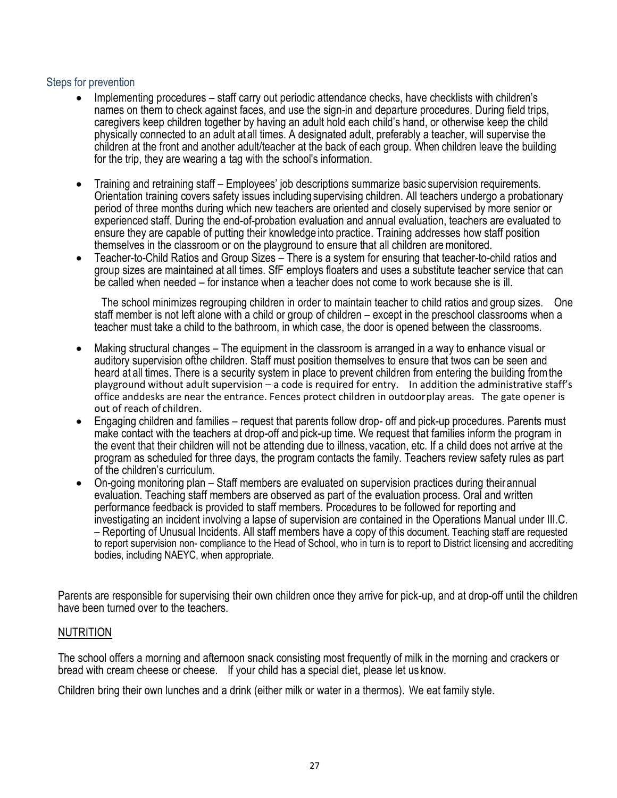#### Steps for prevention

- Implementing procedures staff carry out periodic attendance checks, have checklists with children's names on them to check against faces, and use the sign-in and departure procedures. During field trips, caregivers keep children together by having an adult hold each child's hand, or otherwise keep the child physically connected to an adult at all times. A designated adult, preferably a teacher, will supervise the children at the front and another adult/teacher at the back of each group. When children leave the building for the trip, they are wearing a tag with the school's information.
- Training and retraining staff Employees' job descriptions summarize basic supervision requirements. Orientation training covers safety issues including supervising children. All teachers undergo a probationary period of three months during which new teachers are oriented and closely supervised by more senior or experienced staff. During the end-of-probation evaluation and annual evaluation, teachers are evaluated to ensure they are capable of putting their knowledge into practice. Training addresses how staff position themselves in the classroom or on the playground to ensure that all children aremonitored.
- Teacher-to-Child Ratios and Group Sizes There is a system for ensuring that teacher-to-child ratios and group sizes are maintained at all times. SfF employs floaters and uses a substitute teacher service that can be called when needed – for instance when a teacher does not come to work because she is ill.

The school minimizes regrouping children in order to maintain teacher to child ratios and group sizes. One staff member is not left alone with a child or group of children – except in the preschool classrooms when a teacher must take a child to the bathroom, in which case, the door is opened between the classrooms.

- Making structural changes The equipment in the classroom is arranged in a way to enhance visual or auditory supervision ofthe children. Staff must position themselves to ensure that twos can be seen and heard at all times. There is a security system in place to prevent children from entering the building fromthe playground without adult supervision – a code is required for entry. In addition the administrative staff's office anddesks are near the entrance. Fences protect children in outdoorplay areas. The gate opener is out of reach of children.
- Engaging children and families request that parents follow drop- off and pick-up procedures. Parents must make contact with the teachers at drop-off and pick-up time. We request that families inform the program in the event that their children will not be attending due to illness, vacation, etc. If a child does not arrive at the program as scheduled for three days, the program contacts the family. Teachers review safety rules as part of the children's curriculum.
- On-going monitoring plan Staff members are evaluated on supervision practices during their annual evaluation. Teaching staff members are observed as part of the evaluation process. Oral and written performance feedback is provided to staff members. Procedures to be followed for reporting and investigating an incident involving a lapse of supervision are contained in the Operations Manual under III.C. – Reporting of Unusual Incidents. All staff members have a copy of this document. Teaching staff are requested to report supervision non- compliance to the Head of School, who in turn is to report to District licensing and accrediting bodies, including NAEYC, when appropriate.

Parents are responsible for supervising their own children once they arrive for pick-up, and at drop-off until the children have been turned over to the teachers.

#### NUTRITION

The school offers a morning and afternoon snack consisting most frequently of milk in the morning and crackers or bread with cream cheese or cheese. If your child has a special diet, please let us know.

Children bring their own lunches and a drink (either milk or water in a thermos). We eat family style.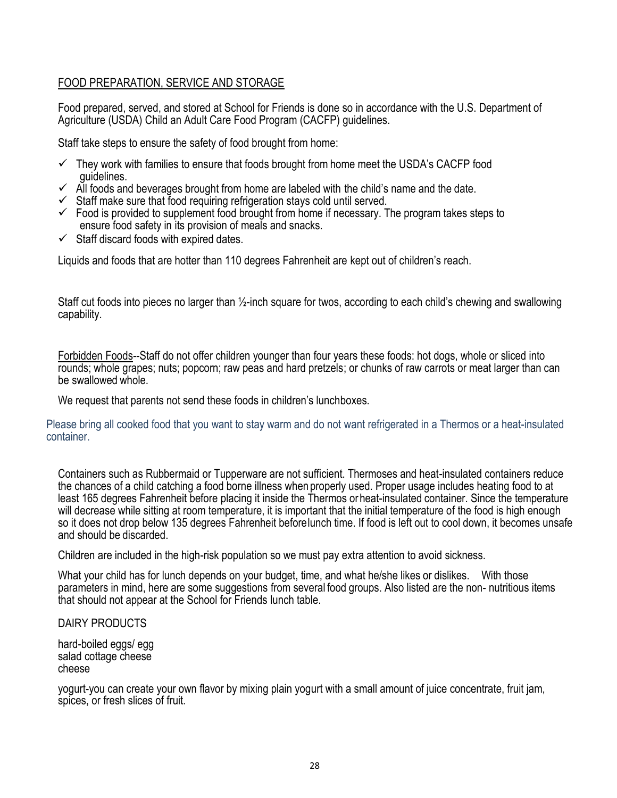### FOOD PREPARATION, SERVICE AND STORAGE

Food prepared, served, and stored at School for Friends is done so in accordance with the U.S. Department of Agriculture (USDA) Child an Adult Care Food Program (CACFP) guidelines.

Staff take steps to ensure the safety of food brought from home:

- $\checkmark$  They work with families to ensure that foods brought from home meet the USDA's CACFP food guidelines.
- $\checkmark$  All foods and beverages brought from home are labeled with the child's name and the date.
- $\checkmark$  Staff make sure that food requiring refrigeration stays cold until served.
- $\checkmark$  Food is provided to supplement food brought from home if necessary. The program takes steps to ensure food safety in its provision of meals and snacks.
- $\checkmark$  Staff discard foods with expired dates.

Liquids and foods that are hotter than 110 degrees Fahrenheit are kept out of children's reach.

Staff cut foods into pieces no larger than ½-inch square for twos, according to each child's chewing and swallowing capability.

Forbidden Foods--Staff do not offer children younger than four years these foods: hot dogs, whole or sliced into rounds; whole grapes; nuts; popcorn; raw peas and hard pretzels; or chunks of raw carrots or meat larger than can be swallowed whole.

We request that parents not send these foods in children's lunchboxes.

Please bring all cooked food that you want to stay warm and do not want refrigerated in a Thermos or a heat-insulated container.

Containers such as Rubbermaid or Tupperware are not sufficient. Thermoses and heat-insulated containers reduce the chances of a child catching a food borne illness when properly used. Proper usage includes heating food to at least 165 degrees Fahrenheit before placing it inside the Thermos orheat-insulated container. Since the temperature will decrease while sitting at room temperature, it is important that the initial temperature of the food is high enough so it does not drop below 135 degrees Fahrenheit beforelunch time. If food is left out to cool down, it becomes unsafe and should be discarded.

Children are included in the high-risk population so we must pay extra attention to avoid sickness.

What your child has for lunch depends on your budget, time, and what he/she likes or dislikes. With those parameters in mind, here are some suggestions from several food groups. Also listed are the non- nutritious items that should not appear at the School for Friends lunch table.

DAIRY PRODUCTS

hard-boiled eggs/ egg salad cottage cheese cheese

yogurt-you can create your own flavor by mixing plain yogurt with a small amount of juice concentrate, fruit jam, spices, or fresh slices of fruit.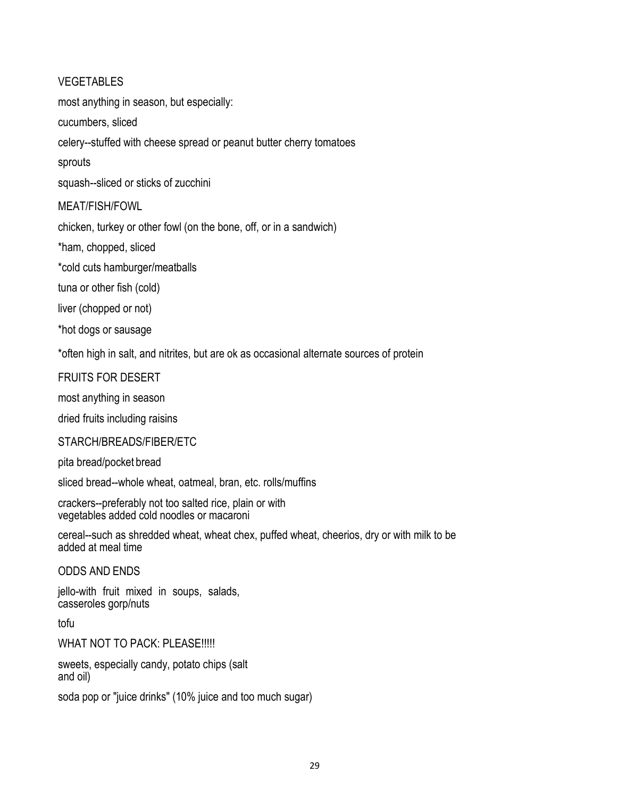### VEGETABLES

most anything in season, but especially:

cucumbers, sliced

celery--stuffed with cheese spread or peanut butter cherry tomatoes

sprouts

squash--sliced or sticks of zucchini

### MEAT/FISH/FOWL

chicken, turkey or other fowl (on the bone, off, or in a sandwich)

\*ham, chopped, sliced

\*cold cuts hamburger/meatballs

tuna or other fish (cold)

liver (chopped or not)

\*hot dogs or sausage

\*often high in salt, and nitrites, but are ok as occasional alternate sources of protein

### FRUITS FOR DESERT

most anything in season

dried fruits including raisins

#### STARCH/BREADS/FIBER/ETC

pita bread/pocket bread

sliced bread--whole wheat, oatmeal, bran, etc. rolls/muffins

crackers--preferably not too salted rice, plain or with vegetables added cold noodles or macaroni

cereal--such as shredded wheat, wheat chex, puffed wheat, cheerios, dry or with milk to be added at meal time

ODDS AND ENDS

jello-with fruit mixed in soups, salads, casseroles gorp/nuts

tofu

WHAT NOT TO PACK: PLEASE !!!!!

sweets, especially candy, potato chips (salt and oil)

soda pop or "juice drinks" (10% juice and too much sugar)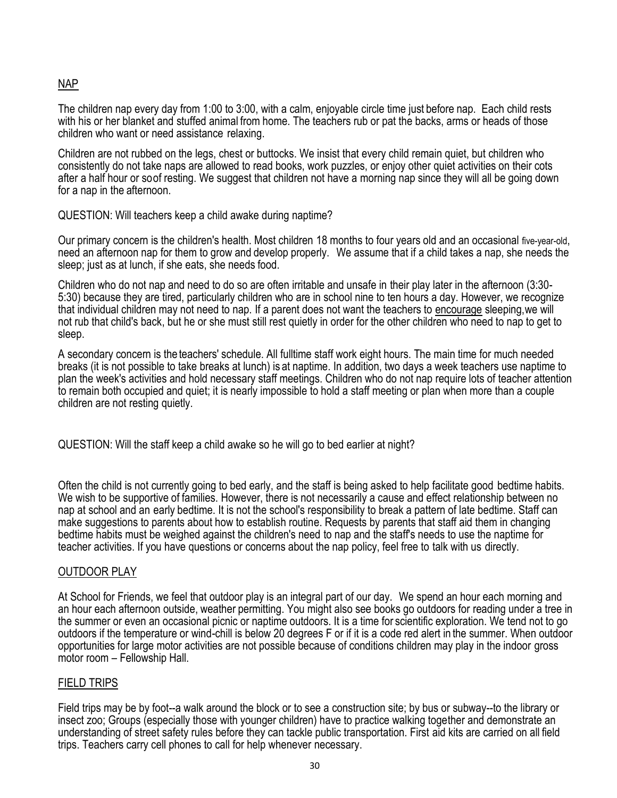## NAP

The children nap every day from 1:00 to 3:00, with a calm, enjoyable circle time just before nap. Each child rests with his or her blanket and stuffed animal from home. The teachers rub or pat the backs, arms or heads of those children who want or need assistance relaxing.

Children are not rubbed on the legs, chest or buttocks. We insist that every child remain quiet, but children who consistently do not take naps are allowed to read books, work puzzles, or enjoy other quiet activities on their cots after a half hour or soof resting. We suggest that children not have a morning nap since they will all be going down for a nap in the afternoon.

#### QUESTION: Will teachers keep a child awake during naptime?

Our primary concern is the children's health. Most children 18 months to four years old and an occasional five-year-old, need an afternoon nap for them to grow and develop properly. We assume that if a child takes a nap, she needs the sleep; just as at lunch, if she eats, she needs food.

Children who do not nap and need to do so are often irritable and unsafe in their play later in the afternoon (3:30- 5:30) because they are tired, particularly children who are in school nine to ten hours a day. However, we recognize that individual children may not need to nap. If a parent does not want the teachers to encourage sleeping,we will not rub that child's back, but he or she must still rest quietly in order for the other children who need to nap to get to sleep.

A secondary concern is the teachers' schedule. All fulltime staff work eight hours. The main time for much needed breaks (it is not possible to take breaks at lunch) is at naptime. In addition, two days a week teachers use naptime to plan the week's activities and hold necessary staff meetings. Children who do not nap require lots of teacher attention to remain both occupied and quiet; it is nearly impossible to hold a staff meeting or plan when more than a couple children are not resting quietly.

QUESTION: Will the staff keep a child awake so he will go to bed earlier at night?

Often the child is not currently going to bed early, and the staff is being asked to help facilitate good bedtime habits. We wish to be supportive of families. However, there is not necessarily a cause and effect relationship between no nap at school and an early bedtime. It is not the school's responsibility to break a pattern of late bedtime. Staff can make suggestions to parents about how to establish routine. Requests by parents that staff aid them in changing bedtime habits must be weighed against the children's need to nap and the staff's needs to use the naptime for teacher activities. If you have questions or concerns about the nap policy, feel free to talk with us directly.

#### OUTDOOR PLAY

At School for Friends, we feel that outdoor play is an integral part of our day. We spend an hour each morning and an hour each afternoon outside, weather permitting. You might also see books go outdoors for reading under a tree in the summer or even an occasional picnic or naptime outdoors. It is a time for scientific exploration. We tend not to go outdoors if the temperature or wind-chill is below 20 degrees F or if it is a code red alert in the summer. When outdoor opportunities for large motor activities are not possible because of conditions children may play in the indoor gross motor room – Fellowship Hall.

#### FIELD TRIPS

Field trips may be by foot--a walk around the block or to see a construction site; by bus or subway--to the library or insect zoo; Groups (especially those with younger children) have to practice walking together and demonstrate an understanding of street safety rules before they can tackle public transportation. First aid kits are carried on all field trips. Teachers carry cell phones to call for help whenever necessary.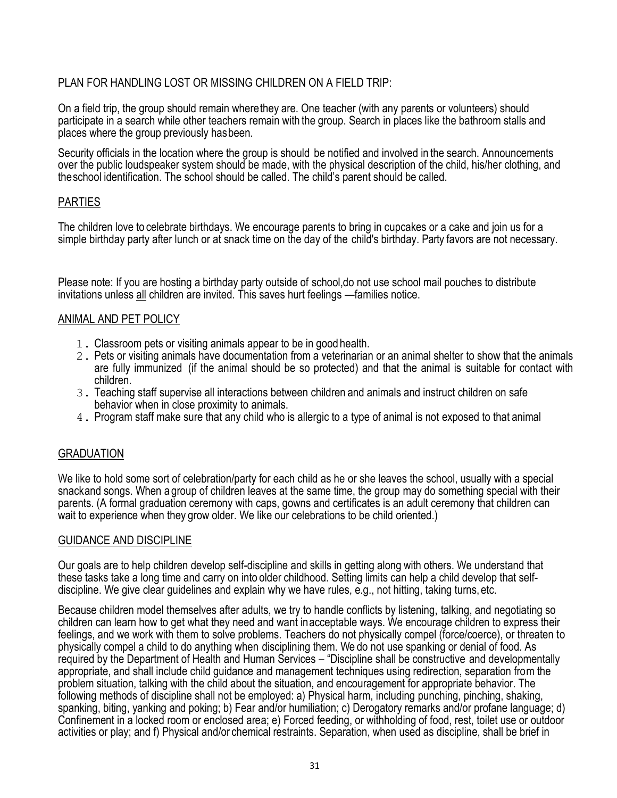## PLAN FOR HANDLING LOST OR MISSING CHILDREN ON A FIELD TRIP:

On a field trip, the group should remain wherethey are. One teacher (with any parents or volunteers) should participate in a search while other teachers remain with the group. Search in places like the bathroom stalls and places where the group previously hasbeen.

Security officials in the location where the group is should be notified and involved in the search. Announcements over the public loudspeaker system should be made, with the physical description of the child, his/her clothing, and theschool identification. The school should be called. The child's parent should be called.

### **PARTIES**

The children love to celebrate birthdays. We encourage parents to bring in cupcakes or a cake and join us for a simple birthday party after lunch or at snack time on the day of the child's birthday. Party favors are not necessary.

Please note: If you are hosting a birthday party outside of school,do not use school mail pouches to distribute invitations unless all children are invited. This saves hurt feelings —families notice.

### ANIMAL AND PET POLICY

- 1. Classroom pets or visiting animals appear to be in good health.
- 2. Pets or visiting animals have documentation from a veterinarian or an animal shelter to show that the animals are fully immunized (if the animal should be so protected) and that the animal is suitable for contact with children.
- 3. Teaching staff supervise all interactions between children and animals and instruct children on safe behavior when in close proximity to animals.
- 4. Program staff make sure that any child who is allergic to a type of animal is not exposed to that animal

#### GRADUATION

We like to hold some sort of celebration/party for each child as he or she leaves the school, usually with a special snackand songs. When a group of children leaves at the same time, the group may do something special with their parents. (A formal graduation ceremony with caps, gowns and certificates is an adult ceremony that children can wait to experience when they grow older. We like our celebrations to be child oriented.)

#### GUIDANCE AND DISCIPLINE

Our goals are to help children develop self-discipline and skills in getting along with others. We understand that these tasks take a long time and carry on into older childhood. Setting limits can help a child develop that selfdiscipline. We give clear guidelines and explain why we have rules, e.g., not hitting, taking turns, etc.

Because children model themselves after adults, we try to handle conflicts by listening, talking, and negotiating so children can learn how to get what they need and want inacceptable ways. We encourage children to express their feelings, and we work with them to solve problems. Teachers do not physically compel (force/coerce), or threaten to physically compel a child to do anything when disciplining them. We do not use spanking or denial of food. As required by the Department of Health and Human Services – "Discipline shall be constructive and developmentally appropriate, and shall include child guidance and management techniques using redirection, separation from the problem situation, talking with the child about the situation, and encouragement for appropriate behavior. The following methods of discipline shall not be employed: a) Physical harm, including punching, pinching, shaking, spanking, biting, yanking and poking; b) Fear and/or humiliation; c) Derogatory remarks and/or profane language; d) Confinement in a locked room or enclosed area; e) Forced feeding, or withholding of food, rest, toilet use or outdoor activities or play; and f) Physical and/or chemical restraints. Separation, when used as discipline, shall be brief in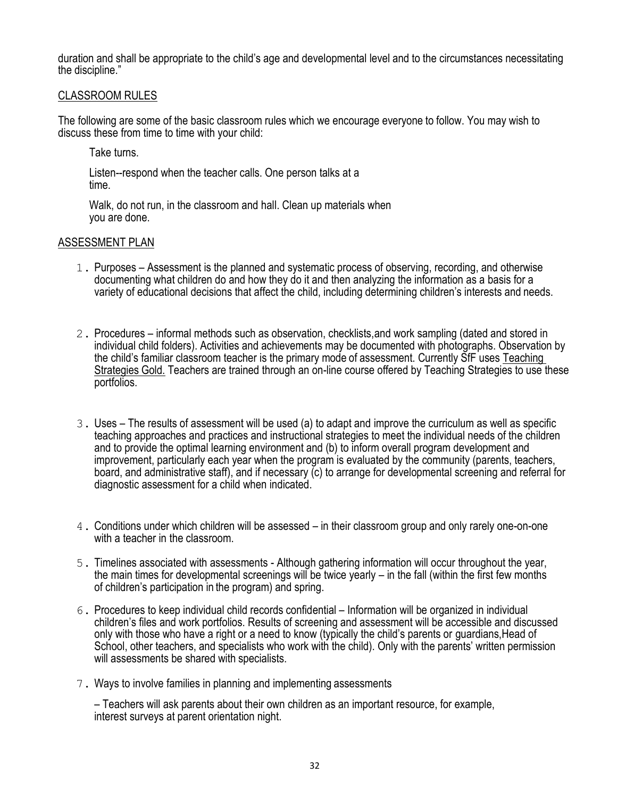duration and shall be appropriate to the child's age and developmental level and to the circumstances necessitating the discipline."

#### CLASSROOM RULES

The following are some of the basic classroom rules which we encourage everyone to follow. You may wish to discuss these from time to time with your child:

Take turns.

Listen--respond when the teacher calls. One person talks at a time.

Walk, do not run, in the classroom and hall. Clean up materials when you are done.

#### ASSESSMENT PLAN

- 1. Purposes Assessment is the planned and systematic process of observing, recording, and otherwise documenting what children do and how they do it and then analyzing the information as a basis for a variety of educational decisions that affect the child, including determining children's interests and needs.
- 2. Procedures informal methods such as observation, checklists,and work sampling (dated and stored in individual child folders). Activities and achievements may be documented with photographs. Observation by the child's familiar classroom teacher is the primary mode of assessment. Currently SfF uses Teaching Strategies Gold. Teachers are trained through an on-line course offered by Teaching Strategies to use these portfolios.
- 3. Uses The results of assessment will be used (a) to adapt and improve the curriculum as well as specific teaching approaches and practices and instructional strategies to meet the individual needs of the children and to provide the optimal learning environment and (b) to inform overall program development and improvement, particularly each year when the program is evaluated by the community (parents, teachers, board, and administrative staff), and if necessary (c) to arrange for developmental screening and referral for diagnostic assessment for a child when indicated.
- 4. Conditions under which children will be assessed in their classroom group and only rarely one-on-one with a teacher in the classroom.
- 5. Timelines associated with assessments Although gathering information will occur throughout the year, the main times for developmental screenings will be twice yearly – in the fall (within the first few months of children's participation in the program) and spring.
- 6. Procedures to keep individual child records confidential Information will be organized in individual children's files and work portfolios. Results of screening and assessment will be accessible and discussed only with those who have a right or a need to know (typically the child's parents or guardians,Head of School, other teachers, and specialists who work with the child). Only with the parents' written permission will assessments be shared with specialists.
- 7. Ways to involve families in planning and implementing assessments

– Teachers will ask parents about their own children as an important resource, for example, interest surveys at parent orientation night.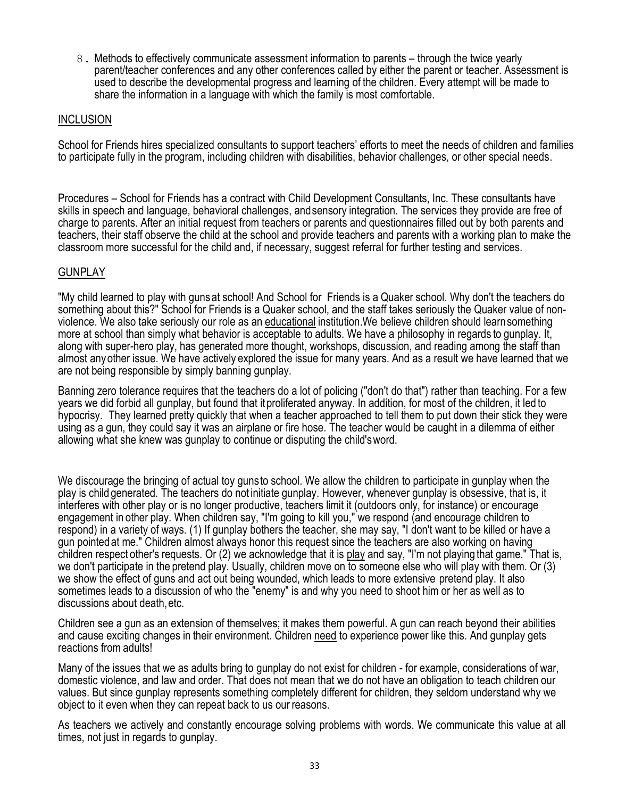8. Methods to effectively communicate assessment information to parents – through the twice yearly parent/teacher conferences and any other conferences called by either the parent or teacher. Assessment is used to describe the developmental progress and learning of the children. Every attempt will be made to share the information in a language with which the family is most comfortable.

#### INCLUSION

School for Friends hires specialized consultants to support teachers' efforts to meet the needs of children and families to participate fully in the program, including children with disabilities, behavior challenges, or other special needs.

Procedures – School for Friends has a contract with Child Development Consultants, Inc. These consultants have skills in speech and language, behavioral challenges, andsensory integration. The services they provide are free of charge to parents. After an initial request from teachers or parents and questionnaires filled out by both parents and teachers, their staff observe the child at the school and provide teachers and parents with a working plan to make the classroom more successful for the child and, if necessary, suggest referral for further testing and services.

#### **GUNPLAY**

"My child learned to play with gunsat school! And School for Friends is a Quaker school. Why don't the teachers do something about this?" School for Friends is a Quaker school, and the staff takes seriously the Quaker value of nonviolence. We also take seriously our role as an educational institution.We believe children should learnsomething more at school than simply what behavior is acceptable to adults. We have a philosophy in regards to gunplay. It, along with super-hero play, has generated more thought, workshops, discussion, and reading among the staff than almost anyother issue. We have actively explored the issue for many years. And as a result we have learned that we are not being responsible by simply banning gunplay.

Banning zero tolerance requires that the teachers do a lot of policing ("don't do that") rather than teaching. For a few years we did forbid all gunplay, but found that itproliferated anyway. In addition, for most of the children, it led to hypocrisy. They learned pretty quickly that when a teacher approached to tell them to put down their stick they were using as a gun, they could say it was an airplane or fire hose. The teacher would be caught in a dilemma of either allowing what she knew was gunplay to continue or disputing the child'sword.

We discourage the bringing of actual toy gunsto school. We allow the children to participate in gunplay when the play is child generated. The teachers do not initiate gunplay. However, whenever gunplay is obsessive, that is, it interferes with other play or is no longer productive, teachers limit it (outdoors only, for instance) or encourage engagement in other play. When children say, "I'm going to kill you," we respond (and encourage children to respond) in a variety of ways. (1) If gunplay bothers the teacher, she may say, "I don't want to be killed or have a gun pointedat me." Children almost always honor this request since the teachers are also working on having children respect other's requests. Or (2) we acknowledge that it is play and say, "I'm not playing that game." That is, we don't participate in the pretend play. Usually, children move on to someone else who will play with them. Or (3) we show the effect of guns and act out being wounded, which leads to more extensive pretend play. It also sometimes leads to a discussion of who the "enemy" is and why you need to shoot him or her as well as to discussions about death,etc.

Children see a gun as an extension of themselves; it makes them powerful. A gun can reach beyond their abilities and cause exciting changes in their environment. Children need to experience power like this. And gunplay gets reactions from adults!

Many of the issues that we as adults bring to gunplay do not exist for children - for example, considerations of war, domestic violence, and law and order. That does not mean that we do not have an obligation to teach children our values. But since gunplay represents something completely different for children, they seldom understand why we object to it even when they can repeat back to us our reasons.

As teachers we actively and constantly encourage solving problems with words. We communicate this value at all times, not just in regards to gunplay.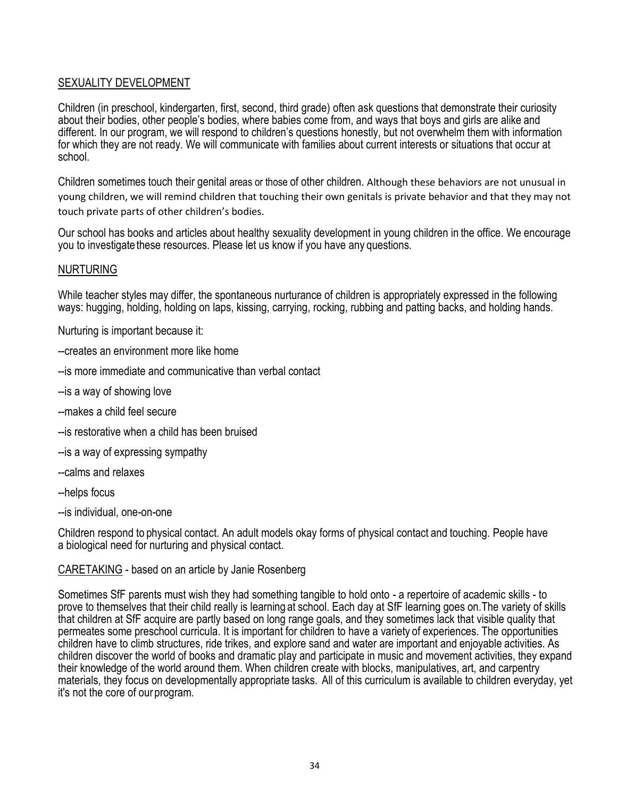### SEXUALITY DEVELOPMENT

Children (in preschool, kindergarten, first, second, third grade) often ask questions that demonstrate their curiosity about their bodies, other people's bodies, where babies come from, and ways that boys and girls are alike and different. In our program, we will respond to children's questions honestly, but not overwhelm them with information for which they are not ready. We will communicate with families about current interests or situations that occur at school.

Children sometimes touch their genital areas or those of other children. Although these behaviors are not unusual in young children, we will remind children that touching their own genitals is private behavior and that they may not touch private parts of other children's bodies.

Our school has books and articles about healthy sexuality development in young children in the office. We encourage you to investigate these resources. Please let us know if you have any questions.

#### NURTURING

While teacher styles may differ, the spontaneous nurturance of children is appropriately expressed in the following ways: hugging, holding, holding on laps, kissing, carrying, rocking, rubbing and patting backs, and holding hands.

Nurturing is important because it:

- --creates an environment more like home
- --is more immediate and communicative than verbal contact
- --is a way of showing love
- --makes a child feel secure
- --is restorative when a child has been bruised
- --is a way of expressing sympathy
- --calms and relaxes
- --helps focus
- --is individual, one-on-one

Children respond to physical contact. An adult models okay forms of physical contact and touching. People have a biological need for nurturing and physical contact.

#### CARETAKING - based on an article by Janie Rosenberg

Sometimes SfF parents must wish they had something tangible to hold onto - a repertoire of academic skills - to prove to themselves that their child really is learning at school. Each day at SfF learning goes on.The variety of skills that children at SfF acquire are partly based on long range goals, and they sometimes lack that visible quality that permeates some preschool curricula. It is important for children to have a variety of experiences. The opportunities children have to climb structures, ride trikes, and explore sand and water are important and enjoyable activities. As children discover the world of books and dramatic play and participate in music and movement activities, they expand their knowledge of the world around them. When children create with blocks, manipulatives, art, and carpentry materials, they focus on developmentally appropriate tasks. All of this curriculum is available to children everyday, yet it's not the core of our program.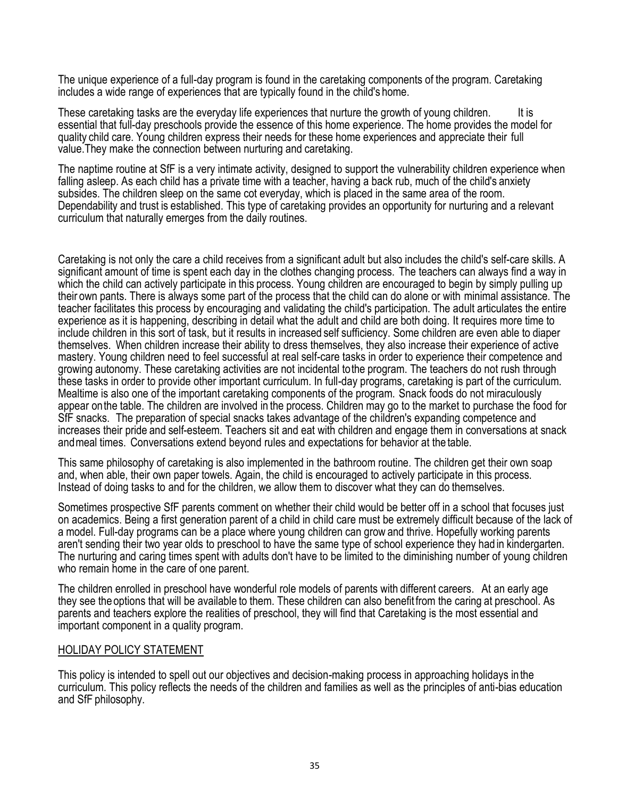The unique experience of a full-day program is found in the caretaking components of the program. Caretaking includes a wide range of experiences that are typically found in the child's home.

These caretaking tasks are the everyday life experiences that nurture the growth of young children. It is essential that full-day preschools provide the essence of this home experience. The home provides the model for quality child care. Young children express their needs for these home experiences and appreciate their full value.They make the connection between nurturing and caretaking.

The naptime routine at SfF is a very intimate activity, designed to support the vulnerability children experience when falling asleep. As each child has a private time with a teacher, having a back rub, much of the child's anxiety subsides. The children sleep on the same cot everyday, which is placed in the same area of the room. Dependability and trust is established. This type of caretaking provides an opportunity for nurturing and a relevant curriculum that naturally emerges from the daily routines.

Caretaking is not only the care a child receives from a significant adult but also includes the child's self-care skills. A significant amount of time is spent each day in the clothes changing process. The teachers can always find a way in which the child can actively participate in this process. Young children are encouraged to begin by simply pulling up their own pants. There is always some part of the process that the child can do alone or with minimal assistance. The teacher facilitates this process by encouraging and validating the child's participation. The adult articulates the entire experience as it is happening, describing in detail what the adult and child are both doing. It requires more time to include children in this sort of task, but it results in increased self sufficiency. Some children are even able to diaper themselves. When children increase their ability to dress themselves, they also increase their experience of active mastery. Young children need to feel successful at real self-care tasks in order to experience their competence and growing autonomy. These caretaking activities are not incidental tothe program. The teachers do not rush through these tasks in order to provide other important curriculum. In full-day programs, caretaking is part of the curriculum. Mealtime is also one of the important caretaking components of the program. Snack foods do not miraculously appear onthe table. The children are involved in the process. Children may go to the market to purchase the food for SfF snacks. The preparation of special snacks takes advantage of the children's expanding competence and increases their pride and self-esteem. Teachers sit and eat with children and engage them in conversations at snack andmeal times. Conversations extend beyond rules and expectations for behavior at the table.

This same philosophy of caretaking is also implemented in the bathroom routine. The children get their own soap and, when able, their own paper towels. Again, the child is encouraged to actively participate in this process. Instead of doing tasks to and for the children, we allow them to discover what they can do themselves.

Sometimes prospective SfF parents comment on whether their child would be better off in a school that focuses just on academics. Being a first generation parent of a child in child care must be extremely difficult because of the lack of a model. Full-day programs can be a place where young children can grow and thrive. Hopefully working parents aren't sending their two year olds to preschool to have the same type of school experience they had in kindergarten. The nurturing and caring times spent with adults don't have to be limited to the diminishing number of young children who remain home in the care of one parent.

The children enrolled in preschool have wonderful role models of parents with different careers. At an early age they see the options that will be available to them. These children can also benefit from the caring at preschool. As parents and teachers explore the realities of preschool, they will find that Caretaking is the most essential and important component in a quality program.

#### HOLIDAY POLICY STATEMENT

This policy is intended to spell out our objectives and decision-making process in approaching holidays in the curriculum. This policy reflects the needs of the children and families as well as the principles of anti-bias education and SfF philosophy.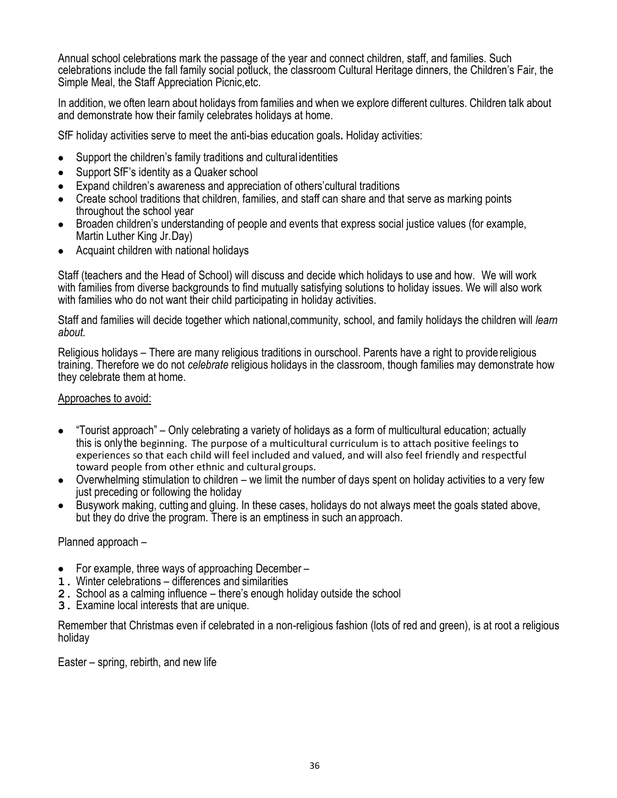Annual school celebrations mark the passage of the year and connect children, staff, and families. Such celebrations include the fall family social potluck, the classroom Cultural Heritage dinners, the Children's Fair, the Simple Meal, the Staff Appreciation Picnic,etc.

In addition, we often learn about holidays from families and when we explore different cultures. Children talk about and demonstrate how their family celebrates holidays at home.

SfF holiday activities serve to meet the anti-bias education goals**.** Holiday activities:

- Support the children's family traditions and cultural identities
- Support SfF's identity as a Quaker school
- Expand children's awareness and appreciation of others'cultural traditions
- Create school traditions that children, families, and staff can share and that serve as marking points throughout the school year
- Broaden children's understanding of people and events that express social justice values (for example, Martin Luther King Jr.Day)
- Acquaint children with national holidays

Staff (teachers and the Head of School) will discuss and decide which holidays to use and how. We will work with families from diverse backgrounds to find mutually satisfying solutions to holiday issues. We will also work with families who do not want their child participating in holiday activities.

Staff and families will decide together which national,community, school, and family holidays the children will *learn about.*

Religious holidays – There are many religious traditions in ourschool. Parents have a right to providereligious training. Therefore we do not *celebrate* religious holidays in the classroom, though families may demonstrate how they celebrate them at home.

#### Approaches to avoid:

- "Tourist approach" Only celebrating a variety of holidays as a form of multicultural education; actually this is onlythe beginning. The purpose of a multicultural curriculum is to attach positive feelings to experiences so that each child will feel included and valued, and will also feel friendly and respectful toward people from other ethnic and cultural groups.
- Overwhelming stimulation to children we limit the number of days spent on holiday activities to a very few just preceding or following the holiday
- Busywork making, cutting and gluing. In these cases, holidays do not always meet the goals stated above, but they do drive the program. There is an emptiness in such an approach.

Planned approach –

- For example, three ways of approaching December –
- **1.** Winter celebrations differences and similarities
- **2.** School as a calming influence there's enough holiday outside the school
- **3.** Examine local interests that are unique.

Remember that Christmas even if celebrated in a non-religious fashion (lots of red and green), is at root a religious holiday

Easter – spring, rebirth, and new life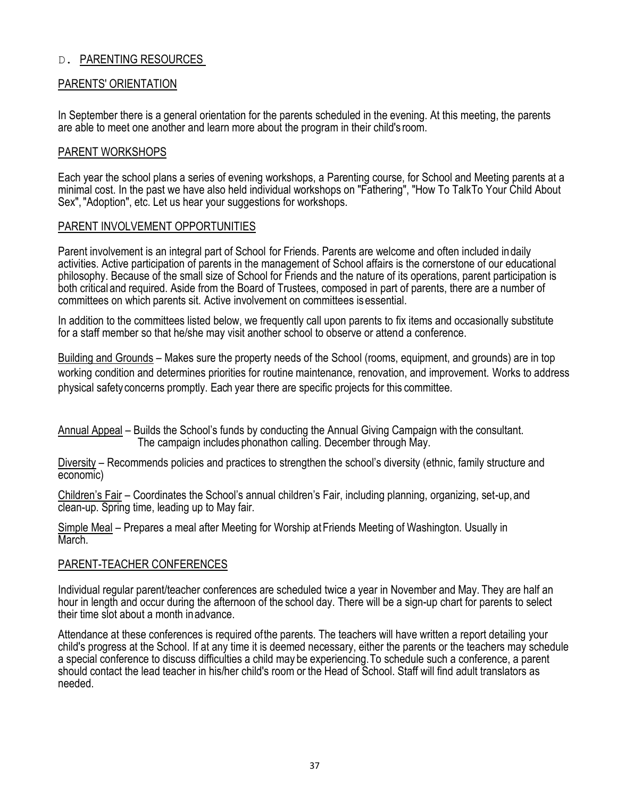### D. PARENTING RESOURCES

#### PARENTS' ORIENTATION

In September there is a general orientation for the parents scheduled in the evening. At this meeting, the parents are able to meet one another and learn more about the program in their child's room.

#### PARENT WORKSHOPS

Each year the school plans a series of evening workshops, a Parenting course, for School and Meeting parents at a minimal cost. In the past we have also held individual workshops on "Fathering", "How To TalkTo Your Child About Sex","Adoption", etc. Let us hear your suggestions for workshops.

#### PARENT INVOLVEMENT OPPORTUNITIES

Parent involvement is an integral part of School for Friends. Parents are welcome and often included indaily activities. Active participation of parents in the management of School affairs is the cornerstone of our educational philosophy. Because of the small size of School for Friends and the nature of its operations, parent participation is both critical and required. Aside from the Board of Trustees, composed in part of parents, there are a number of committees on which parents sit. Active involvement on committees isessential.

In addition to the committees listed below, we frequently call upon parents to fix items and occasionally substitute for a staff member so that he/she may visit another school to observe or attend a conference.

Building and Grounds – Makes sure the property needs of the School (rooms, equipment, and grounds) are in top working condition and determines priorities for routine maintenance, renovation, and improvement. Works to address physical safety concerns promptly. Each year there are specific projects for this committee.

Annual Appeal – Builds the School's funds by conducting the Annual Giving Campaign with the consultant. The campaign includes phonathon calling. December through May.

Diversity – Recommends policies and practices to strengthen the school's diversity (ethnic, family structure and economic)

Children's Fair – Coordinates the School's annual children's Fair, including planning, organizing, set-up,and clean-up. Spring time, leading up to May fair.

Simple Meal – Prepares a meal after Meeting for Worship at Friends Meeting of Washington. Usually in March.

#### PARENT-TEACHER CONFERENCES

Individual regular parent/teacher conferences are scheduled twice a year in November and May. They are half an hour in length and occur during the afternoon of the school day. There will be a sign-up chart for parents to select their time slot about a month inadvance.

Attendance at these conferences is required ofthe parents. The teachers will have written a report detailing your child's progress at the School. If at any time it is deemed necessary, either the parents or the teachers may schedule a special conference to discuss difficulties a child may be experiencing.To schedule such a conference, a parent should contact the lead teacher in his/her child's room or the Head of School. Staff will find adult translators as needed.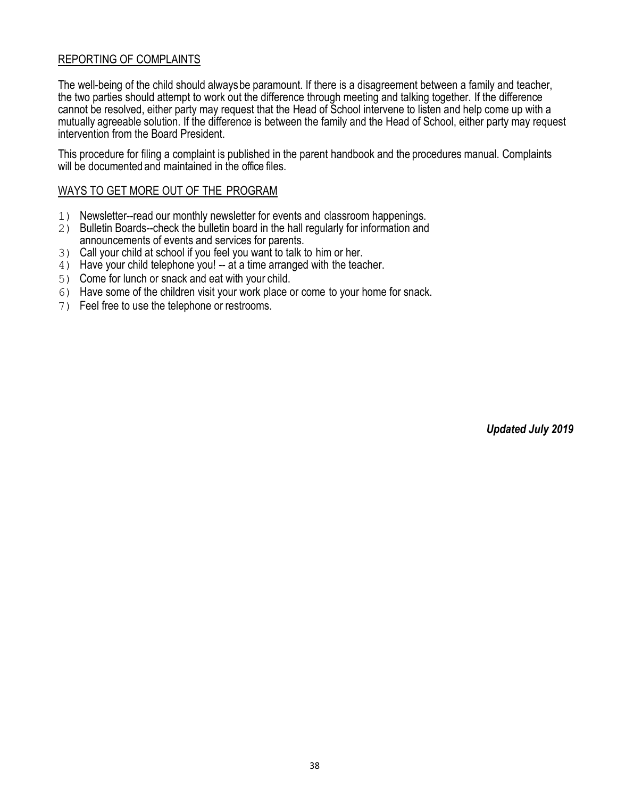### REPORTING OF COMPLAINTS

The well-being of the child should alwaysbe paramount. If there is a disagreement between a family and teacher, the two parties should attempt to work out the difference through meeting and talking together. If the difference cannot be resolved, either party may request that the Head of School intervene to listen and help come up with a mutually agreeable solution. If the difference is between the family and the Head of School, either party may request intervention from the Board President.

This procedure for filing a complaint is published in the parent handbook and the procedures manual. Complaints will be documented and maintained in the office files.

#### WAYS TO GET MORE OUT OF THE PROGRAM

- 1) Newsletter--read our monthly newsletter for events and classroom happenings.
- 2) Bulletin Boards--check the bulletin board in the hall regularly for information and announcements of events and services for parents.
- 3) Call your child at school if you feel you want to talk to him or her.
- 4) Have your child telephone you! -- at a time arranged with the teacher.
- 5) Come for lunch or snack and eat with your child.
- 6) Have some of the children visit your work place or come to your home for snack.
- 7) Feel free to use the telephone or restrooms.

*Updated July 2019*